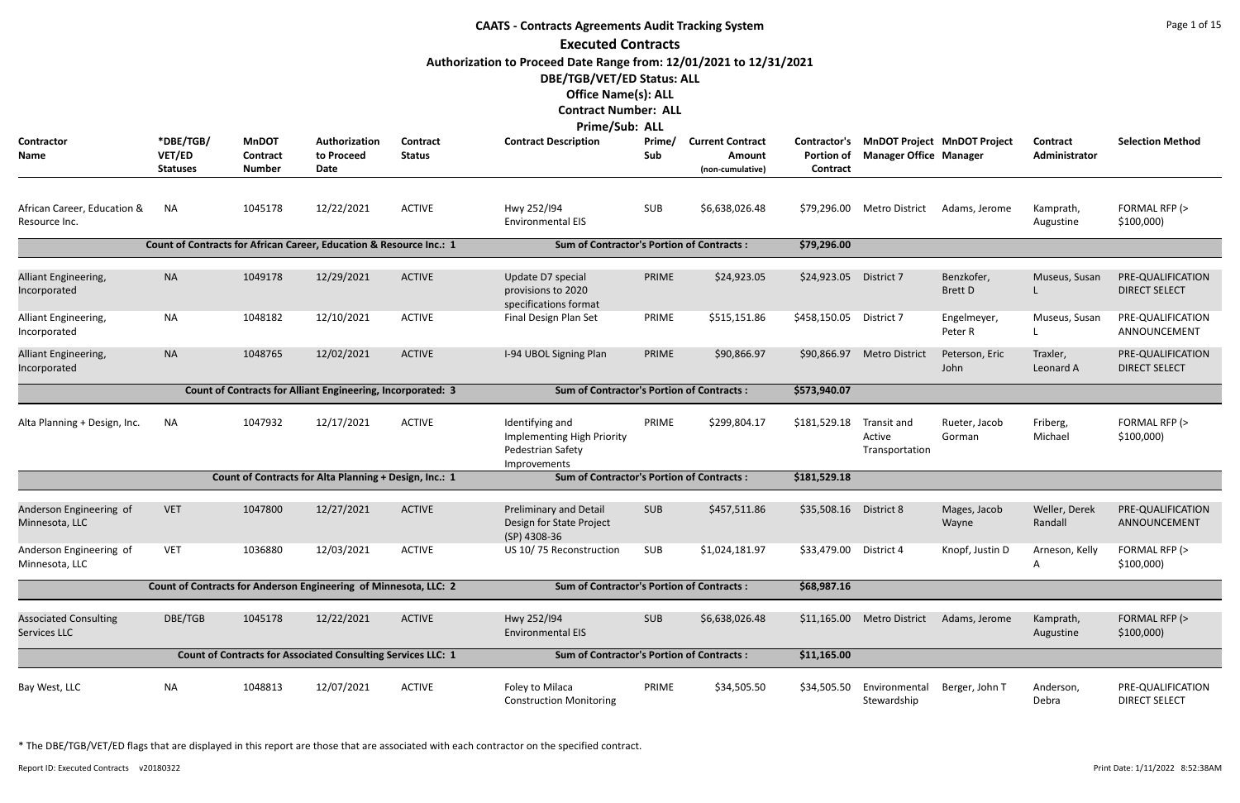|                                                                                                                                                                                                                                                                                                                                  | <b>CAATS - Contracts Agreements Audit Tracking System</b><br><b>Executed Contracts</b> |                                                                    |                                                                  |                                                  |                                                                                    |               |                            |                               |                                         |                              |                          |                                           |  |  |
|----------------------------------------------------------------------------------------------------------------------------------------------------------------------------------------------------------------------------------------------------------------------------------------------------------------------------------|----------------------------------------------------------------------------------------|--------------------------------------------------------------------|------------------------------------------------------------------|--------------------------------------------------|------------------------------------------------------------------------------------|---------------|----------------------------|-------------------------------|-----------------------------------------|------------------------------|--------------------------|-------------------------------------------|--|--|
| Authorization to Proceed Date Range from: 12/01/2021 to 12/31/2021<br>DBE/TGB/VET/ED Status: ALL<br><b>Office Name(s): ALL</b><br><b>Contract Number: ALL</b><br>Prime/Sub: ALL<br><b>MnDOT</b><br>Authorization<br><b>Contract</b><br><b>MnDOT Project MnDOT Project</b><br><b>Current Contract</b><br>Contractor's<br>Contract |                                                                                        |                                                                    |                                                                  |                                                  |                                                                                    |               |                            |                               |                                         |                              |                          |                                           |  |  |
| Contractor<br>Name                                                                                                                                                                                                                                                                                                               | *DBE/TGB/<br>VET/ED<br><b>Statuses</b>                                                 | <b>Contract</b><br><b>Number</b>                                   | to Proceed<br>Date                                               | <b>Status</b>                                    | <b>Contract Description</b>                                                        | Prime/<br>Sub | Amount<br>(non-cumulative) | <b>Portion of</b><br>Contract | <b>Manager Office Manager</b>           |                              | Administrator            | <b>Selection Method</b>                   |  |  |
| African Career, Education &<br>Resource Inc.                                                                                                                                                                                                                                                                                     | <b>NA</b>                                                                              | 1045178                                                            | 12/22/2021                                                       | <b>ACTIVE</b>                                    | Hwy 252/194<br><b>Environmental EIS</b>                                            | <b>SUB</b>    | \$6,638,026.48             |                               | \$79,296.00 Metro District              | Adams, Jerome                | Kamprath,<br>Augustine   | FORMAL RFP (><br>\$100,000                |  |  |
| Count of Contracts for African Career, Education & Resource Inc.: 1                                                                                                                                                                                                                                                              |                                                                                        |                                                                    |                                                                  | <b>Sum of Contractor's Portion of Contracts:</b> |                                                                                    |               | \$79,296.00                |                               |                                         |                              |                          |                                           |  |  |
| Alliant Engineering,<br>Incorporated                                                                                                                                                                                                                                                                                             | <b>NA</b>                                                                              | 1049178                                                            | 12/29/2021                                                       | <b>ACTIVE</b>                                    | Update D7 special<br>provisions to 2020<br>specifications format                   | PRIME         | \$24,923.05                | \$24,923.05                   | District 7                              | Benzkofer,<br><b>Brett D</b> | Museus, Susan            | PRE-QUALIFICATION<br><b>DIRECT SELECT</b> |  |  |
| Alliant Engineering,<br>Incorporated                                                                                                                                                                                                                                                                                             | <b>NA</b>                                                                              | 1048182                                                            | 12/10/2021                                                       | <b>ACTIVE</b>                                    | Final Design Plan Set                                                              | PRIME         | \$515,151.86               | \$458,150.05                  | District 7                              | Engelmeyer,<br>Peter R       | Museus, Susan            | PRE-QUALIFICATION<br>ANNOUNCEMENT         |  |  |
| Alliant Engineering,<br>Incorporated                                                                                                                                                                                                                                                                                             | <b>NA</b>                                                                              | 1048765                                                            | 12/02/2021                                                       | <b>ACTIVE</b>                                    | I-94 UBOL Signing Plan                                                             | PRIME         | \$90,866.97                | \$90,866.97                   | <b>Metro District</b>                   | Peterson, Eric<br>John       | Traxler,<br>Leonard A    | PRE-QUALIFICATION<br><b>DIRECT SELECT</b> |  |  |
|                                                                                                                                                                                                                                                                                                                                  |                                                                                        | <b>Count of Contracts for Alliant Engineering, Incorporated: 3</b> |                                                                  | <b>Sum of Contractor's Portion of Contracts:</b> |                                                                                    |               | \$573,940.07               |                               |                                         |                              |                          |                                           |  |  |
| Alta Planning + Design, Inc.                                                                                                                                                                                                                                                                                                     | <b>NA</b>                                                                              | 1047932                                                            | 12/17/2021                                                       | <b>ACTIVE</b>                                    | Identifying and<br>Implementing High Priority<br>Pedestrian Safety<br>Improvements | PRIME         | \$299,804.17               | \$181,529.18                  | Transit and<br>Active<br>Transportation | Rueter, Jacob<br>Gorman      | Friberg,<br>Michael      | FORMAL RFP (><br>\$100,000)               |  |  |
|                                                                                                                                                                                                                                                                                                                                  |                                                                                        |                                                                    | Count of Contracts for Alta Planning + Design, Inc.: 1           |                                                  | <b>Sum of Contractor's Portion of Contracts:</b>                                   |               |                            | \$181,529.18                  |                                         |                              |                          |                                           |  |  |
| Anderson Engineering of<br>Minnesota, LLC                                                                                                                                                                                                                                                                                        | <b>VET</b>                                                                             | 1047800                                                            | 12/27/2021                                                       | <b>ACTIVE</b>                                    | Preliminary and Detail<br>Design for State Project<br>(SP) 4308-36                 | <b>SUB</b>    | \$457,511.86               | \$35,508.16                   | District 8                              | Mages, Jacob<br>Wayne        | Weller, Derek<br>Randall | PRE-QUALIFICATION<br>ANNOUNCEMENT         |  |  |
| Anderson Engineering of<br>Minnesota, LLC                                                                                                                                                                                                                                                                                        | <b>VET</b>                                                                             | 1036880                                                            | 12/03/2021                                                       | <b>ACTIVE</b>                                    | US 10/75 Reconstruction                                                            | SUB           | \$1,024,181.97             | \$33,479.00                   | District 4                              | Knopf, Justin D              | Arneson, Kelly<br>A      | FORMAL RFP (><br>\$100,000                |  |  |
|                                                                                                                                                                                                                                                                                                                                  |                                                                                        |                                                                    | Count of Contracts for Anderson Engineering of Minnesota, LLC: 2 |                                                  | <b>Sum of Contractor's Portion of Contracts:</b>                                   |               |                            | \$68,987.16                   |                                         |                              |                          |                                           |  |  |
| <b>Associated Consulting</b><br>Services LLC                                                                                                                                                                                                                                                                                     | DBE/TGB                                                                                | 1045178                                                            | 12/22/2021                                                       | <b>ACTIVE</b>                                    | Hwy 252/194<br><b>Environmental EIS</b>                                            | <b>SUB</b>    | \$6,638,026.48             | \$11,165.00                   | Metro District                          | Adams, Jerome                | Kamprath,<br>Augustine   | FORMAL RFP (><br>\$100,000                |  |  |
| <b>Count of Contracts for Associated Consulting Services LLC: 1</b>                                                                                                                                                                                                                                                              |                                                                                        |                                                                    |                                                                  |                                                  | <b>Sum of Contractor's Portion of Contracts:</b>                                   |               |                            | \$11,165.00                   |                                         |                              |                          |                                           |  |  |
| Bay West, LLC                                                                                                                                                                                                                                                                                                                    | <b>NA</b>                                                                              | 1048813                                                            | 12/07/2021                                                       | <b>ACTIVE</b>                                    | Foley to Milaca<br><b>Construction Monitoring</b>                                  | PRIME         | \$34,505.50                | \$34,505.50                   | Environmental<br>Stewardship            | Berger, John T               | Anderson,<br>Debra       | PRE-QUALIFICATION<br><b>DIRECT SELECT</b> |  |  |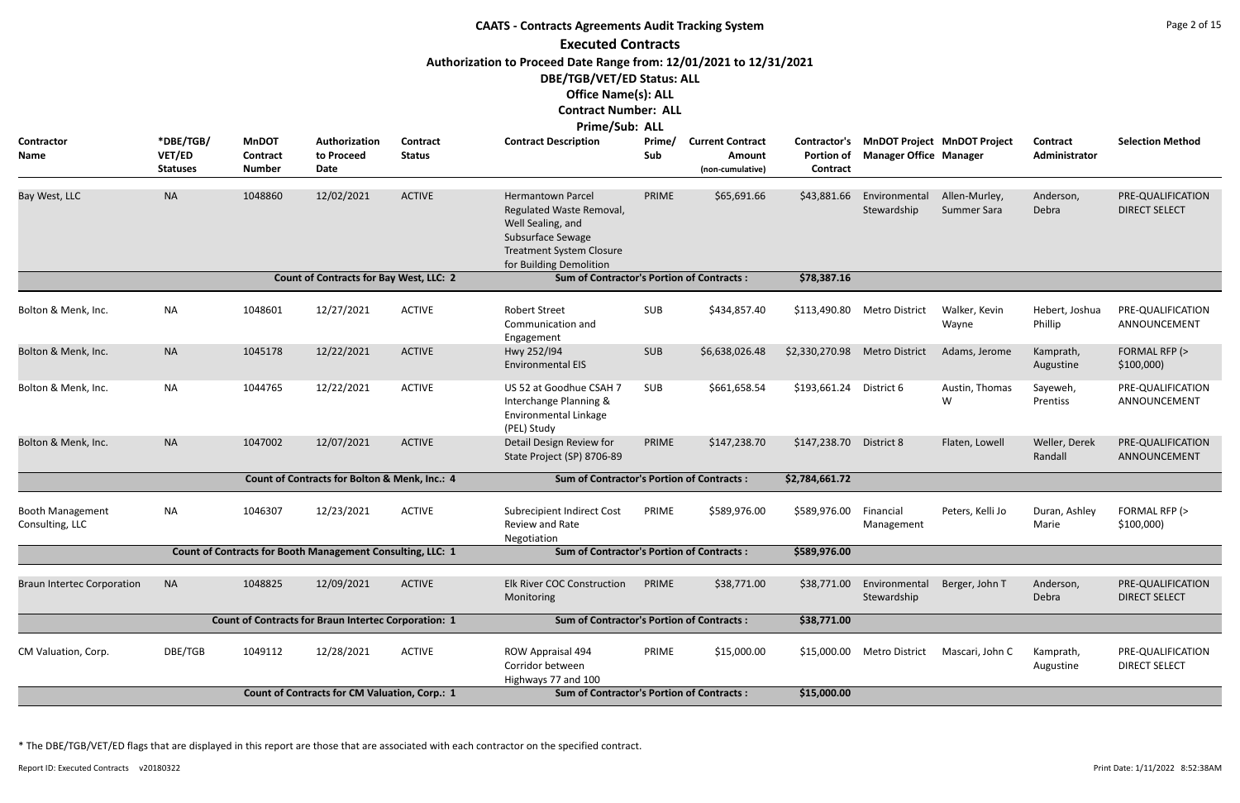| <b>CAATS - Contracts Agreements Audit Tracking System</b> |                                        |                                           |                                                             |                                  |                                                                                                                                                              |               |                                                       |                                                             |                               |                                    |                           |                                           |  |
|-----------------------------------------------------------|----------------------------------------|-------------------------------------------|-------------------------------------------------------------|----------------------------------|--------------------------------------------------------------------------------------------------------------------------------------------------------------|---------------|-------------------------------------------------------|-------------------------------------------------------------|-------------------------------|------------------------------------|---------------------------|-------------------------------------------|--|
|                                                           |                                        |                                           |                                                             |                                  | <b>Executed Contracts</b>                                                                                                                                    |               |                                                       |                                                             |                               |                                    |                           |                                           |  |
|                                                           |                                        |                                           |                                                             |                                  | Authorization to Proceed Date Range from: 12/01/2021 to 12/31/2021                                                                                           |               |                                                       |                                                             |                               |                                    |                           |                                           |  |
|                                                           |                                        |                                           |                                                             |                                  | DBE/TGB/VET/ED Status: ALL                                                                                                                                   |               |                                                       |                                                             |                               |                                    |                           |                                           |  |
|                                                           |                                        |                                           |                                                             |                                  | <b>Office Name(s): ALL</b>                                                                                                                                   |               |                                                       |                                                             |                               |                                    |                           |                                           |  |
|                                                           |                                        |                                           |                                                             |                                  | <b>Contract Number: ALL</b>                                                                                                                                  |               |                                                       |                                                             |                               |                                    |                           |                                           |  |
|                                                           |                                        |                                           |                                                             |                                  | Prime/Sub: ALL                                                                                                                                               |               |                                                       |                                                             |                               |                                    |                           |                                           |  |
| <b>Contractor</b><br><b>Name</b>                          | *DBE/TGB/<br>VET/ED<br><b>Statuses</b> | <b>MnDOT</b><br>Contract<br><b>Number</b> | Authorization<br>to Proceed<br>Date                         | <b>Contract</b><br><b>Status</b> | <b>Contract Description</b>                                                                                                                                  | Prime/<br>Sub | <b>Current Contract</b><br>Amount<br>(non-cumulative) | <b>Contractor's</b><br><b>Portion of</b><br><b>Contract</b> | <b>Manager Office Manager</b> | <b>MnDOT Project MnDOT Project</b> | Contract<br>Administrator | <b>Selection Method</b>                   |  |
| Bay West, LLC                                             | <b>NA</b>                              | 1048860                                   | 12/02/2021                                                  | <b>ACTIVE</b>                    | <b>Hermantown Parcel</b><br>Regulated Waste Removal,<br>Well Sealing, and<br>Subsurface Sewage<br><b>Treatment System Closure</b><br>for Building Demolition | PRIME         | \$65,691.66                                           | \$43,881.66                                                 | Environmental<br>Stewardship  | Allen-Murley,<br>Summer Sara       | Anderson,<br>Debra        | PRE-QUALIFICATION<br><b>DIRECT SELECT</b> |  |
|                                                           |                                        |                                           | <b>Count of Contracts for Bay West, LLC: 2</b>              |                                  | <b>Sum of Contractor's Portion of Contracts:</b>                                                                                                             |               |                                                       | \$78,387.16                                                 |                               |                                    |                           |                                           |  |
| Bolton & Menk, Inc.                                       | <b>NA</b>                              | 1048601                                   | 12/27/2021                                                  | <b>ACTIVE</b>                    | <b>Robert Street</b><br>Communication and<br>Engagement                                                                                                      | SUB           | \$434,857.40                                          | \$113,490.80                                                | <b>Metro District</b>         | Walker, Kevin<br>Wayne             | Hebert, Joshua<br>Phillip | PRE-QUALIFICATION<br>ANNOUNCEMENT         |  |
| Bolton & Menk, Inc.                                       | <b>NA</b>                              | 1045178                                   | 12/22/2021                                                  | <b>ACTIVE</b>                    | Hwy 252/194<br><b>Environmental EIS</b>                                                                                                                      | SUB           | \$6,638,026.48                                        | \$2,330,270.98                                              | <b>Metro District</b>         | Adams, Jerome                      | Kamprath,<br>Augustine    | FORMAL RFP (><br>\$100,000                |  |
| Bolton & Menk, Inc.                                       | <b>NA</b>                              | 1044765                                   | 12/22/2021                                                  | <b>ACTIVE</b>                    | US 52 at Goodhue CSAH 7<br>Interchange Planning &<br>Environmental Linkage<br>(PEL) Study                                                                    | <b>SUB</b>    | \$661,658.54                                          | \$193,661.24                                                | District 6                    | Austin, Thomas<br>W                | Sayeweh,<br>Prentiss      | PRE-QUALIFICATION<br>ANNOUNCEMENT         |  |
| Bolton & Menk, Inc.                                       | <b>NA</b>                              | 1047002                                   | 12/07/2021                                                  | <b>ACTIVE</b>                    | Detail Design Review for<br>State Project (SP) 8706-89                                                                                                       | PRIME         | \$147,238.70                                          | \$147,238.70                                                | District 8                    | Flaten, Lowell                     | Weller, Derek<br>Randall  | PRE-QUALIFICATION<br>ANNOUNCEMENT         |  |
|                                                           |                                        |                                           | Count of Contracts for Bolton & Menk, Inc.: 4               |                                  | <b>Sum of Contractor's Portion of Contracts:</b>                                                                                                             |               |                                                       | \$2,784,661.72                                              |                               |                                    |                           |                                           |  |
| <b>Booth Management</b><br>Consulting, LLC                | NA                                     | 1046307                                   | 12/23/2021                                                  | <b>ACTIVE</b>                    | Subrecipient Indirect Cost<br>Review and Rate<br>Negotiation                                                                                                 | PRIME         | \$589,976.00                                          | \$589,976.00                                                | Financial<br>Management       | Peters, Kelli Jo                   | Duran, Ashley<br>Marie    | FORMAL RFP (><br>\$100,000                |  |
|                                                           |                                        |                                           | Count of Contracts for Booth Management Consulting, LLC: 1  |                                  | <b>Sum of Contractor's Portion of Contracts:</b>                                                                                                             |               |                                                       | \$589,976.00                                                |                               |                                    |                           |                                           |  |
| <b>Braun Intertec Corporation</b>                         | <b>NA</b>                              | 1048825                                   | 12/09/2021                                                  | <b>ACTIVE</b>                    | <b>Elk River COC Construction</b><br>Monitoring                                                                                                              | PRIME         | \$38,771.00                                           | \$38,771.00                                                 | Environmental<br>Stewardship  | Berger, John T                     | Anderson,<br>Debra        | PRE-QUALIFICATION<br><b>DIRECT SELECT</b> |  |
|                                                           |                                        |                                           | <b>Count of Contracts for Braun Intertec Corporation: 1</b> |                                  | <b>Sum of Contractor's Portion of Contracts:</b>                                                                                                             |               |                                                       | \$38,771.00                                                 |                               |                                    |                           |                                           |  |
| CM Valuation, Corp.                                       | DBE/TGB                                | 1049112                                   | 12/28/2021                                                  | <b>ACTIVE</b>                    | ROW Appraisal 494<br>Corridor between<br>Highways 77 and 100                                                                                                 | PRIME         | \$15,000.00                                           | \$15,000.00                                                 | <b>Metro District</b>         | Mascari, John C                    | Kamprath,<br>Augustine    | PRE-QUALIFICATION<br><b>DIRECT SELECT</b> |  |
|                                                           |                                        |                                           | Count of Contracts for CM Valuation, Corp.: 1               |                                  | <b>Sum of Contractor's Portion of Contracts:</b>                                                                                                             |               |                                                       | \$15,000.00                                                 |                               |                                    |                           |                                           |  |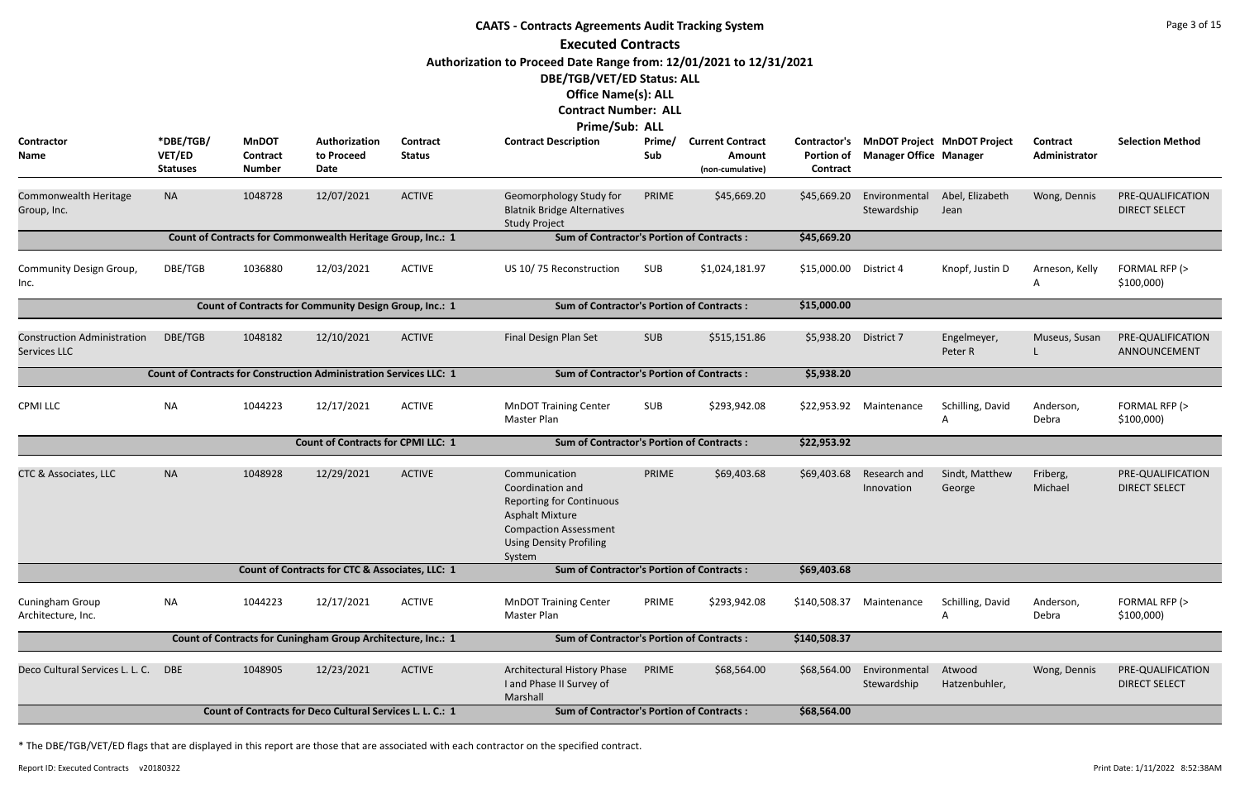|                                                                                                                              | <b>CAATS - Contracts Agreements Audit Tracking System</b> |                                                  |                                                                           |                           |                                                                                                                                                                            |               |                                                       |                               |                                                                           |                          |                                  |                                           |  |
|------------------------------------------------------------------------------------------------------------------------------|-----------------------------------------------------------|--------------------------------------------------|---------------------------------------------------------------------------|---------------------------|----------------------------------------------------------------------------------------------------------------------------------------------------------------------------|---------------|-------------------------------------------------------|-------------------------------|---------------------------------------------------------------------------|--------------------------|----------------------------------|-------------------------------------------|--|
|                                                                                                                              |                                                           |                                                  |                                                                           |                           | <b>Executed Contracts</b>                                                                                                                                                  |               |                                                       |                               |                                                                           |                          |                                  |                                           |  |
|                                                                                                                              |                                                           |                                                  |                                                                           |                           | Authorization to Proceed Date Range from: 12/01/2021 to 12/31/2021                                                                                                         |               |                                                       |                               |                                                                           |                          |                                  |                                           |  |
|                                                                                                                              |                                                           |                                                  |                                                                           |                           | DBE/TGB/VET/ED Status: ALL                                                                                                                                                 |               |                                                       |                               |                                                                           |                          |                                  |                                           |  |
|                                                                                                                              |                                                           |                                                  |                                                                           |                           | <b>Office Name(s): ALL</b>                                                                                                                                                 |               |                                                       |                               |                                                                           |                          |                                  |                                           |  |
|                                                                                                                              |                                                           |                                                  |                                                                           |                           | <b>Contract Number: ALL</b>                                                                                                                                                |               |                                                       |                               |                                                                           |                          |                                  |                                           |  |
|                                                                                                                              |                                                           |                                                  |                                                                           |                           | <b>Prime/Sub: ALL</b>                                                                                                                                                      |               |                                                       |                               |                                                                           |                          |                                  |                                           |  |
| Contractor<br>Name                                                                                                           | *DBE/TGB/<br>VET/ED<br><b>Statuses</b>                    | <b>MnDOT</b><br><b>Contract</b><br><b>Number</b> | Authorization<br>to Proceed<br>Date                                       | Contract<br><b>Status</b> | <b>Contract Description</b>                                                                                                                                                | Prime/<br>Sub | <b>Current Contract</b><br>Amount<br>(non-cumulative) | <b>Portion of</b><br>Contract | Contractor's MnDOT Project MnDOT Project<br><b>Manager Office Manager</b> |                          | <b>Contract</b><br>Administrator | <b>Selection Method</b>                   |  |
| Commonwealth Heritage<br>Group, Inc.                                                                                         | <b>NA</b>                                                 | 1048728                                          | 12/07/2021                                                                | <b>ACTIVE</b>             | Geomorphology Study for<br><b>Blatnik Bridge Alternatives</b><br><b>Study Project</b>                                                                                      | PRIME         | \$45,669.20                                           | \$45,669.20                   | Environmental<br>Stewardship                                              | Abel, Elizabeth<br>Jean  | Wong, Dennis                     | PRE-QUALIFICATION<br><b>DIRECT SELECT</b> |  |
|                                                                                                                              |                                                           |                                                  | Count of Contracts for Commonwealth Heritage Group, Inc.: 1               |                           | <b>Sum of Contractor's Portion of Contracts:</b>                                                                                                                           |               |                                                       | \$45,669.20                   |                                                                           |                          |                                  |                                           |  |
| Community Design Group,<br>Inc.                                                                                              | DBE/TGB                                                   | 1036880                                          | 12/03/2021                                                                | <b>ACTIVE</b>             | US 10/75 Reconstruction                                                                                                                                                    | SUB           | \$1,024,181.97                                        | \$15,000.00                   | District 4                                                                | Knopf, Justin D          | Arneson, Kelly<br>A              | FORMAL RFP (><br>\$100,000                |  |
|                                                                                                                              |                                                           |                                                  | Count of Contracts for Community Design Group, Inc.: 1                    |                           | <b>Sum of Contractor's Portion of Contracts:</b>                                                                                                                           |               |                                                       | \$15,000.00                   |                                                                           |                          |                                  |                                           |  |
| <b>Construction Administration</b><br>Services LLC                                                                           | DBE/TGB                                                   | 1048182                                          | 12/10/2021                                                                | <b>ACTIVE</b>             | Final Design Plan Set                                                                                                                                                      | <b>SUB</b>    | \$515,151.86                                          | \$5,938.20                    | District 7                                                                | Engelmeyer,<br>Peter R   | Museus, Susan                    | PRE-QUALIFICATION<br>ANNOUNCEMENT         |  |
|                                                                                                                              |                                                           |                                                  | <b>Count of Contracts for Construction Administration Services LLC: 1</b> |                           | <b>Sum of Contractor's Portion of Contracts:</b>                                                                                                                           |               |                                                       | \$5,938.20                    |                                                                           |                          |                                  |                                           |  |
| <b>CPMI LLC</b>                                                                                                              | NA                                                        | 1044223                                          | 12/17/2021                                                                | <b>ACTIVE</b>             | <b>MnDOT Training Center</b><br>Master Plan                                                                                                                                | <b>SUB</b>    | \$293,942.08                                          |                               | \$22,953.92 Maintenance                                                   | Schilling, David<br>A    | Anderson,<br>Debra               | FORMAL RFP (><br>\$100,000                |  |
|                                                                                                                              |                                                           |                                                  | <b>Count of Contracts for CPMI LLC: 1</b>                                 |                           | <b>Sum of Contractor's Portion of Contracts:</b>                                                                                                                           |               |                                                       | \$22,953.92                   |                                                                           |                          |                                  |                                           |  |
| CTC & Associates, LLC                                                                                                        | <b>NA</b>                                                 | 1048928                                          | 12/29/2021                                                                | <b>ACTIVE</b>             | Communication<br>Coordination and<br><b>Reporting for Continuous</b><br><b>Asphalt Mixture</b><br><b>Compaction Assessment</b><br><b>Using Density Profiling</b><br>System | PRIME         | \$69,403.68                                           |                               | \$69,403.68 Research and<br>Innovation                                    | Sindt, Matthew<br>George | Friberg,<br>Michael              | PRE-QUALIFICATION<br><b>DIRECT SELECT</b> |  |
|                                                                                                                              |                                                           |                                                  | Count of Contracts for CTC & Associates, LLC: 1                           |                           | <b>Sum of Contractor's Portion of Contracts:</b>                                                                                                                           |               |                                                       | \$69,403.68                   |                                                                           |                          |                                  |                                           |  |
| Cuningham Group<br>Architecture, Inc.                                                                                        | NA                                                        | 1044223                                          | 12/17/2021                                                                | <b>ACTIVE</b>             | <b>MnDOT Training Center</b><br>Master Plan                                                                                                                                | PRIME         | \$293,942.08                                          | \$140,508.37                  | Maintenance                                                               | Schilling, David         | Anderson,<br>Debra               | FORMAL RFP (><br>\$100,000                |  |
|                                                                                                                              |                                                           |                                                  | Count of Contracts for Cuningham Group Architecture, Inc.: 1              |                           | <b>Sum of Contractor's Portion of Contracts:</b>                                                                                                                           |               |                                                       | \$140,508.37                  |                                                                           |                          |                                  |                                           |  |
| Deco Cultural Services L. L. C.                                                                                              | <b>DBE</b>                                                | 1048905                                          | 12/23/2021                                                                | <b>ACTIVE</b>             | Architectural History Phase<br>I and Phase II Survey of<br>Marshall                                                                                                        | PRIME         | \$68,564.00                                           | \$68,564.00                   | Environmental<br>Stewardship                                              | Atwood<br>Hatzenbuhler,  | Wong, Dennis                     | PRE-QUALIFICATION<br><b>DIRECT SELECT</b> |  |
| Count of Contracts for Deco Cultural Services L. L. C.: 1<br><b>Sum of Contractor's Portion of Contracts:</b><br>\$68,564.00 |                                                           |                                                  |                                                                           |                           |                                                                                                                                                                            |               |                                                       |                               |                                                                           |                          |                                  |                                           |  |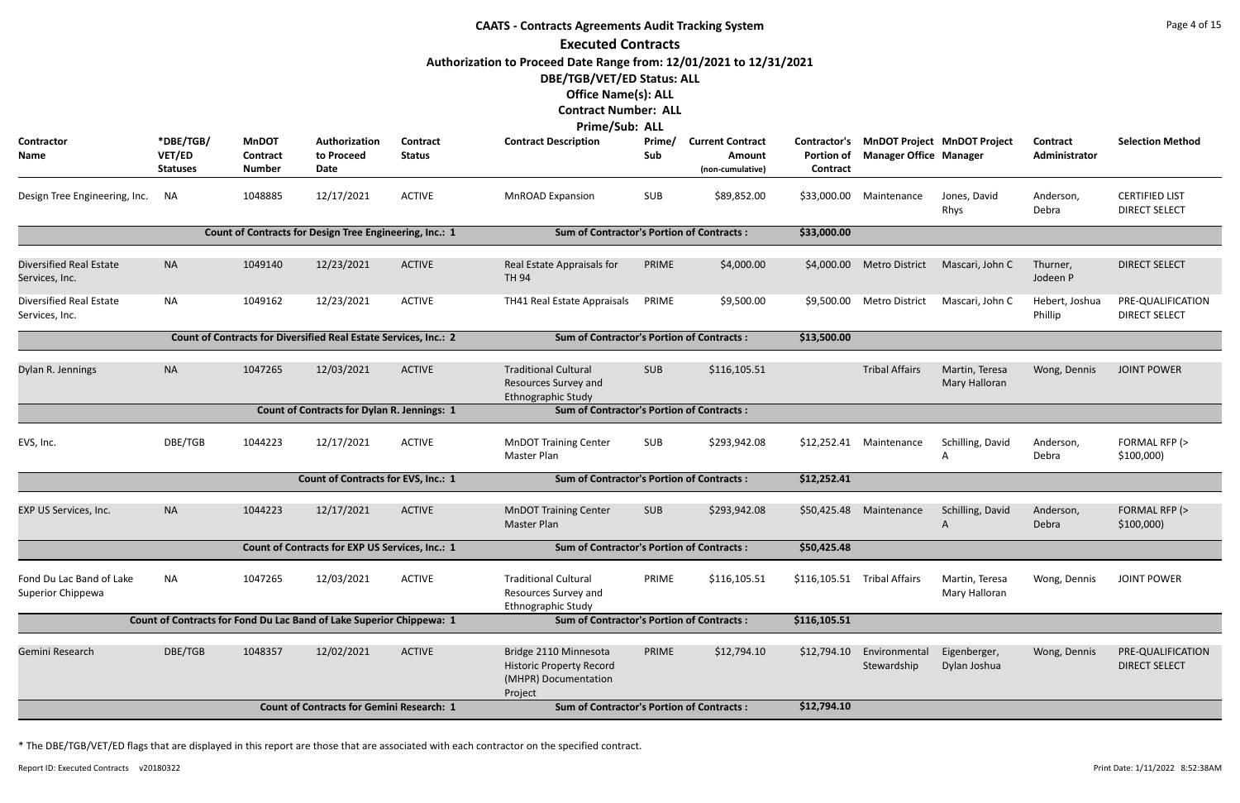| <b>CAATS - Contracts Agreements Audit Tracking System</b>                                                                                                                                                                   |                                        |                                                  |                                                                      |                           |                                                                                             |               |                                                              |                               |                               |                                 |                                  |                                               |  |
|-----------------------------------------------------------------------------------------------------------------------------------------------------------------------------------------------------------------------------|----------------------------------------|--------------------------------------------------|----------------------------------------------------------------------|---------------------------|---------------------------------------------------------------------------------------------|---------------|--------------------------------------------------------------|-------------------------------|-------------------------------|---------------------------------|----------------------------------|-----------------------------------------------|--|
|                                                                                                                                                                                                                             |                                        |                                                  |                                                                      |                           | <b>Executed Contracts</b>                                                                   |               |                                                              |                               |                               |                                 |                                  |                                               |  |
| Authorization to Proceed Date Range from: 12/01/2021 to 12/31/2021<br>DBE/TGB/VET/ED Status: ALL<br><b>Office Name(s): ALL</b><br><b>Contract Number: ALL</b><br>Prime/Sub: ALL<br>Contractor's MnDOT Project MnDOT Project |                                        |                                                  |                                                                      |                           |                                                                                             |               |                                                              |                               |                               |                                 |                                  |                                               |  |
| <b>Contractor</b><br><b>Name</b>                                                                                                                                                                                            | *DBE/TGB/<br>VET/ED<br><b>Statuses</b> | <b>MnDOT</b><br><b>Contract</b><br><b>Number</b> | Authorization<br>to Proceed<br>Date                                  | Contract<br><b>Status</b> | <b>Contract Description</b>                                                                 | Prime/<br>Sub | <b>Current Contract</b><br><b>Amount</b><br>(non-cumulative) | <b>Portion of</b><br>Contract | <b>Manager Office Manager</b> |                                 | <b>Contract</b><br>Administrator | <b>Selection Method</b>                       |  |
| Design Tree Engineering, Inc.                                                                                                                                                                                               | <b>NA</b>                              | 1048885                                          | 12/17/2021                                                           | <b>ACTIVE</b>             | <b>MnROAD Expansion</b>                                                                     | SUB           | \$89,852.00                                                  | \$33,000.00                   | Maintenance                   | Jones, David<br>Rhys            | Anderson,<br>Debra               | <b>CERTIFIED LIST</b><br><b>DIRECT SELECT</b> |  |
|                                                                                                                                                                                                                             |                                        |                                                  | Count of Contracts for Design Tree Engineering, Inc.: 1              |                           | <b>Sum of Contractor's Portion of Contracts:</b>                                            |               |                                                              | \$33,000.00                   |                               |                                 |                                  |                                               |  |
| <b>Diversified Real Estate</b><br>Services, Inc.                                                                                                                                                                            | <b>NA</b>                              | 1049140                                          | 12/23/2021                                                           | <b>ACTIVE</b>             | Real Estate Appraisals for<br><b>TH 94</b>                                                  | PRIME         | \$4,000.00                                                   | \$4,000.00                    | <b>Metro District</b>         | Mascari, John C                 | Thurner,<br>Jodeen P             | <b>DIRECT SELECT</b>                          |  |
| <b>Diversified Real Estate</b><br>Services, Inc.                                                                                                                                                                            | <b>NA</b>                              | 1049162                                          | 12/23/2021                                                           | <b>ACTIVE</b>             | TH41 Real Estate Appraisals                                                                 | PRIME         | \$9,500.00                                                   | \$9,500.00                    | <b>Metro District</b>         | Mascari, John C                 | Hebert, Joshua<br>Phillip        | PRE-QUALIFICATION<br><b>DIRECT SELECT</b>     |  |
|                                                                                                                                                                                                                             |                                        |                                                  | Count of Contracts for Diversified Real Estate Services, Inc.: 2     |                           | <b>Sum of Contractor's Portion of Contracts:</b>                                            |               |                                                              | \$13,500.00                   |                               |                                 |                                  |                                               |  |
| Dylan R. Jennings                                                                                                                                                                                                           | <b>NA</b>                              | 1047265                                          | 12/03/2021                                                           | <b>ACTIVE</b>             | <b>Traditional Cultural</b><br>Resources Survey and<br>Ethnographic Study                   | <b>SUB</b>    | \$116,105.51                                                 |                               | <b>Tribal Affairs</b>         | Martin, Teresa<br>Mary Halloran | Wong, Dennis                     | <b>JOINT POWER</b>                            |  |
|                                                                                                                                                                                                                             |                                        |                                                  | <b>Count of Contracts for Dylan R. Jennings: 1</b>                   |                           | <b>Sum of Contractor's Portion of Contracts:</b>                                            |               |                                                              |                               |                               |                                 |                                  |                                               |  |
| EVS, Inc.                                                                                                                                                                                                                   | DBE/TGB                                | 1044223                                          | 12/17/2021                                                           | <b>ACTIVE</b>             | <b>MnDOT Training Center</b><br>Master Plan                                                 | SUB           | \$293,942.08                                                 | \$12,252.41                   | Maintenance                   | Schilling, David<br>A           | Anderson,<br>Debra               | FORMAL RFP (><br>\$100,000                    |  |
|                                                                                                                                                                                                                             |                                        |                                                  | Count of Contracts for EVS, Inc.: 1                                  |                           | <b>Sum of Contractor's Portion of Contracts:</b>                                            |               |                                                              | \$12,252.41                   |                               |                                 |                                  |                                               |  |
| EXP US Services, Inc.                                                                                                                                                                                                       | <b>NA</b>                              | 1044223                                          | 12/17/2021                                                           | <b>ACTIVE</b>             | <b>MnDOT Training Center</b><br>Master Plan                                                 | <b>SUB</b>    | \$293,942.08                                                 |                               | \$50,425.48 Maintenance       | Schilling, David<br>A           | Anderson,<br>Debra               | FORMAL RFP (><br>\$100,000                    |  |
|                                                                                                                                                                                                                             |                                        |                                                  | Count of Contracts for EXP US Services, Inc.: 1                      |                           | <b>Sum of Contractor's Portion of Contracts:</b>                                            |               |                                                              | \$50,425.48                   |                               |                                 |                                  |                                               |  |
| Fond Du Lac Band of Lake<br>Superior Chippewa                                                                                                                                                                               | <b>NA</b>                              | 1047265                                          | 12/03/2021                                                           | <b>ACTIVE</b>             | <b>Traditional Cultural</b><br>Resources Survey and<br>Ethnographic Study                   | PRIME         | \$116,105.51                                                 |                               | \$116,105.51 Tribal Affairs   | Martin, Teresa<br>Mary Halloran | Wong, Dennis                     | <b>JOINT POWER</b>                            |  |
|                                                                                                                                                                                                                             |                                        |                                                  | Count of Contracts for Fond Du Lac Band of Lake Superior Chippewa: 1 |                           | <b>Sum of Contractor's Portion of Contracts:</b>                                            |               |                                                              | \$116,105.51                  |                               |                                 |                                  |                                               |  |
| Gemini Research                                                                                                                                                                                                             | DBE/TGB                                | 1048357                                          | 12/02/2021                                                           | <b>ACTIVE</b>             | Bridge 2110 Minnesota<br><b>Historic Property Record</b><br>(MHPR) Documentation<br>Project | PRIME         | \$12,794.10                                                  | \$12,794.10                   | Environmental<br>Stewardship  | Eigenberger,<br>Dylan Joshua    | Wong, Dennis                     | PRE-QUALIFICATION<br><b>DIRECT SELECT</b>     |  |
| <b>Count of Contracts for Gemini Research: 1</b><br>\$12,794.10<br><b>Sum of Contractor's Portion of Contracts:</b>                                                                                                         |                                        |                                                  |                                                                      |                           |                                                                                             |               |                                                              |                               |                               |                                 |                                  |                                               |  |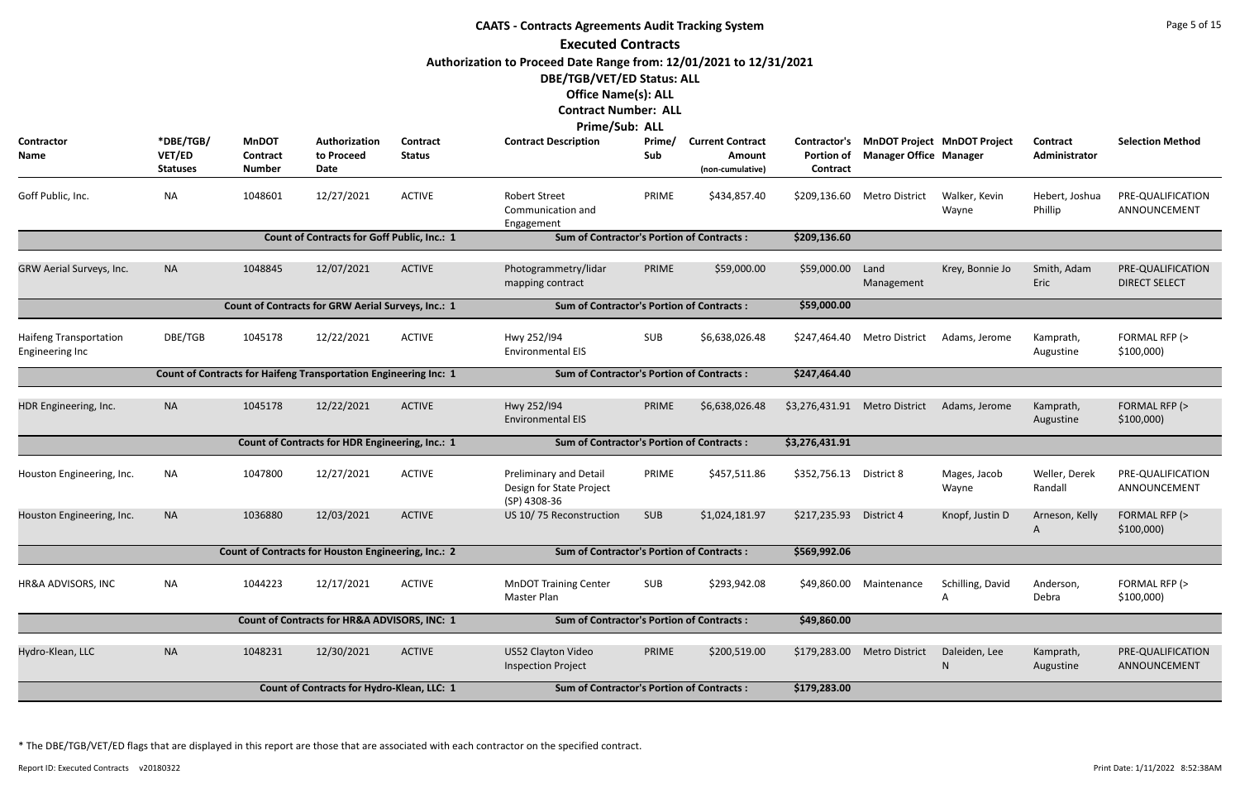**CAATS - Contracts Agreements Audit Tracking System Executed Contracts Authorization to Proceed Date Range from: 12/01/2021 to 12/31/2021 DBE/TGB/VET/ED Status: ALL Office Name(s): ALL Contract Number: ALL Prime/Sub: ALL Contractor Name \*DBE/TGB/ VET/ED Statuses Authorization to Proceed Date MnDOT Contract Number Prime/ Sub Contract Description Prime/ Current Contract Portion of Manager Office Contract Amount (non-cumulative) Contract Status** Goff Public, Inc. **Example: Section Martic Street** PRIME Martic PRIME ACTIVE ACTIVE Robert Street PRIME Communication and Engagement 12/27/2021 ACTIVE Mobert Street PRIME \$434,857.40 \$209,136.60 Metro District Walker, Kevin Hebert, Joshua PRE-QUALIFICATION ACTIVE **Count of Contracts for Goff Public, Inc.: 1 Sum of Contractor's Portion of Contracts : \$209,136.60** GRW Aerial Surveys, Inc. NA 1048845 Photogrammetry/lidar PRIME mapping contract \$59,000.00 Land Manageme Photogrammetry/lidar PRIME \$59,000.00 ACTIVE **Count of Contracts for GRW Aerial Surveys, Inc.: 1 Sum of Contractor's Portion of Contracts : \$59,000.00** Haifeng Transportation Engineering Inc DBE/TGB 1045178 12/22/2021 ACTIVE Hwy 252/I94 SUB Environmental EIS 12/22/2021 ACTIVE Hwy 252/194 SUB \$6,638,026.48 \$247,464.40 Metro District Adams, Jerome Kamprath, FORMAL RFP (> ACTIVE **Count of Contracts for Haifeng Transportation Engineering Inc: 1 Sum of Contractor's Portion of Contracts : \$247,464.40** HDR Engineering, Inc. NA 1045178 Hwy 252/I94 PRIME Environmental EIS 12/22/2021 ACTIVE Hwy 252/194 PRIME \$6,638,026.48 \$3,276,431.91 Metro District Adams, Jerome Kamprath, FORMAL RFP (> ACTIVE **Count of Contracts for HDR Engineering, Inc.: 1 Sum of Contractor's Portion of Contracts : \$3,276,431.91** Houston Engineering, Inc. NA 1047800 12/27/2021 ACTIVE Preliminary and Detail PRIME Design for State Project (SP) 4308-36 12/27/2021 ACTIVE Preliminary and Detail PRIME \$457,511.86 \$352,756.13 District 8 Mages, Jacob Weller, Derek PRE-QUALIFICATION ACTIVE Houston Engineering, Inc. NA 1036880 12/03/2021 ACTIVE US 10/ 75 Reconstruction SUB \$1,024,181.97 \$217,235.93 District 4 Knopf, Justin D Arneson, Kelly FORMAL RFP (> 12/03/2021 ACTIVE US 10/75 Reconstruction SUB \$1,024,181.97 \$217,235.93 District 4 ACTIVE **Count of Contracts for Houston Engineering, Inc.: 2 Sum of Contractor's Portion of Contracts : \$569,992.06** HR&A ADVISORS, INC MA 1044223 12/17/2021 ACTIVE MnDOT Training Center SUB \$293,942.08 \$49,860.00 Maintenance Schilling, David Master Plan \$49,860.00 Maintenan ACTIVE **Count of Contracts for HR&A ADVISORS, INC: 1 Sum of Contractor's Portion of Contracts : \$49,860.00** Hydro-Klean, LLC NA 1048231 US52 Clayton Video PRIME Inspection Project 12/30/2021 ACTIVE US52 Clayton Video PRIME \$200,519.00 \$179,283.00 Metro District Daleiden, Lee Kamprath, PRE-QUALIFICATION ACTIVE **Count of Contracts for Hydro-Klean, LLC: 1 Sum of Contractor's Portion of Contracts : \$179,283.00**

| <b>Current Contract</b><br><b>Amount</b><br>(non-cumulative) | Contractor's<br><b>Portion of</b><br><b>Contract</b>                   | MnDOT Project MnDOT Project<br><b>Manager Office Manager</b> |                        | <b>Contract</b><br>Administrator | <b>Selection Method</b>                   |
|--------------------------------------------------------------|------------------------------------------------------------------------|--------------------------------------------------------------|------------------------|----------------------------------|-------------------------------------------|
| \$434,857.40                                                 | \$209,136.60                                                           | <b>Metro District</b>                                        | Walker, Kevin<br>Wayne | Hebert, Joshua<br>Phillip        | PRE-QUALIFICATION<br>ANNOUNCEMENT         |
| of Contracts:                                                | \$209,136.60                                                           |                                                              |                        |                                  |                                           |
| \$59,000.00                                                  | \$59,000.00                                                            | Land<br>Management                                           | Krey, Bonnie Jo        | Smith, Adam<br>Eric              | PRE-QUALIFICATION<br><b>DIRECT SELECT</b> |
| of Contracts:                                                | \$59,000.00                                                            |                                                              |                        |                                  |                                           |
| \$6,638,026.48                                               | \$247,464.40<br><b>Metro District</b><br>Adams, Jerome<br>\$247,464.40 |                                                              | Kamprath,<br>Augustine | FORMAL RFP (><br>\$100,000       |                                           |
| of Contracts:                                                |                                                                        |                                                              |                        |                                  |                                           |
| \$6,638,026.48                                               | \$3,276,431.91<br><b>Metro District</b>                                |                                                              | Adams, Jerome          | Kamprath,<br>Augustine           | FORMAL RFP (><br>\$100,000                |
| of Contracts:                                                | \$3,276,431.91                                                         |                                                              |                        |                                  |                                           |
| \$457,511.86                                                 | \$352,756.13                                                           | District 8                                                   | Mages, Jacob<br>Wayne  | Weller, Derek<br>Randall         | PRE-QUALIFICATION<br>ANNOUNCEMENT         |
| \$1,024,181.97                                               | \$217,235.93                                                           | District 4                                                   | Knopf, Justin D        | Arneson, Kelly<br>A              | FORMAL RFP (><br>\$100,000                |
| of Contracts:                                                | \$569,992.06                                                           |                                                              |                        |                                  |                                           |
| \$293,942.08                                                 | \$49,860.00                                                            | Maintenance                                                  | Schilling, David<br>A  | Anderson,<br>Debra               | FORMAL RFP (><br>\$100,000)               |
| of Contracts:                                                | \$49,860.00                                                            |                                                              |                        |                                  |                                           |
| \$200,519.00                                                 | \$179,283.00                                                           | <b>Metro District</b>                                        | Daleiden, Lee<br>N     | Kamprath,<br>Augustine           | PRE-QUALIFICATION<br>ANNOUNCEMENT         |
| of Contracts:                                                | \$179,283.00                                                           |                                                              |                        |                                  |                                           |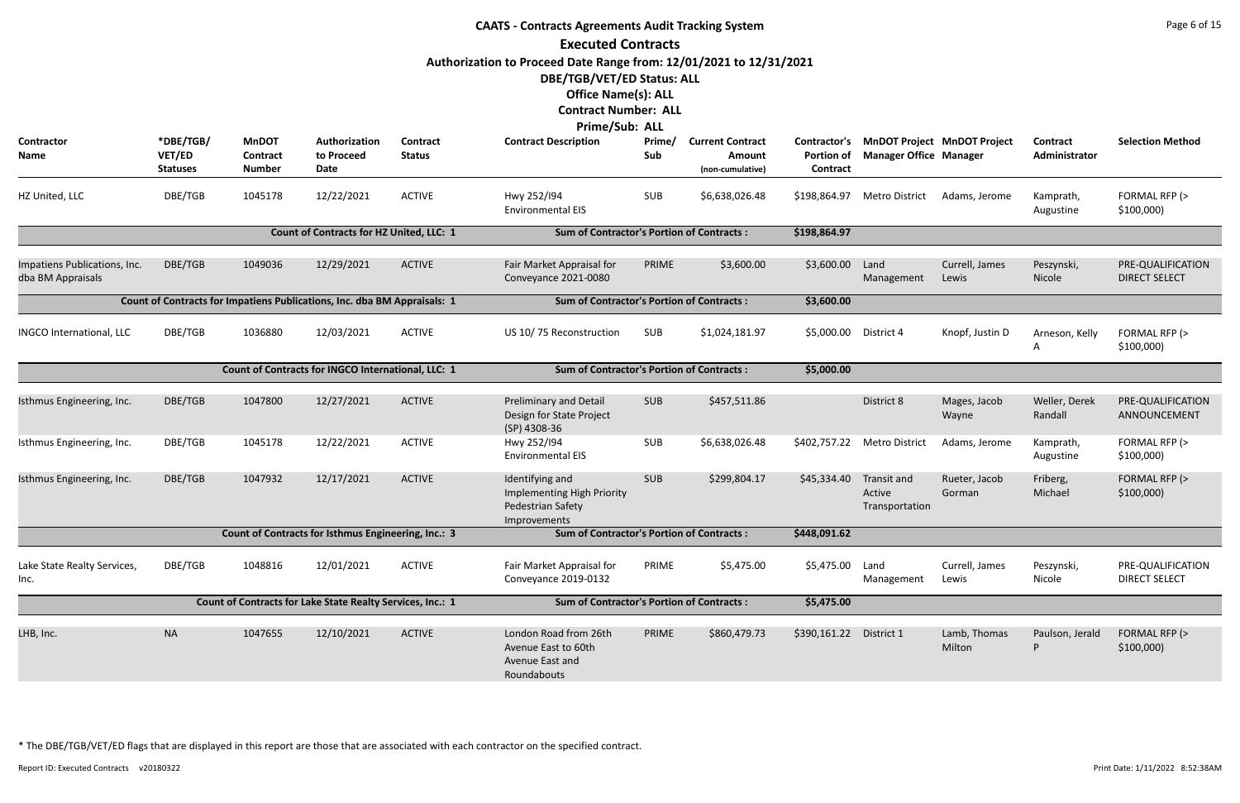| Page 6 of 15<br><b>CAATS - Contracts Agreements Audit Tracking System</b><br><b>Executed Contracts</b><br>Authorization to Proceed Date Range from: 12/01/2021 to 12/31/2021<br>DBE/TGB/VET/ED Status: ALL<br><b>Office Name(s): ALL</b><br><b>Contract Number: ALL</b><br><b>Prime/Sub: ALL</b><br>*DBE/TGB/<br><b>MnDOT</b><br>Authorization<br>Contract<br><b>Contract Description</b><br>Prime/<br><b>Contractor's</b><br><b>MnDOT Project MnDOT Project</b><br><b>Current Contract</b><br><b>Contract</b> |                           |                                  |                                                                          |               |                                                                                    |            |                            |                               |                                         |                         |                          |                                           |
|----------------------------------------------------------------------------------------------------------------------------------------------------------------------------------------------------------------------------------------------------------------------------------------------------------------------------------------------------------------------------------------------------------------------------------------------------------------------------------------------------------------|---------------------------|----------------------------------|--------------------------------------------------------------------------|---------------|------------------------------------------------------------------------------------|------------|----------------------------|-------------------------------|-----------------------------------------|-------------------------|--------------------------|-------------------------------------------|
| <b>Contractor</b><br>Name                                                                                                                                                                                                                                                                                                                                                                                                                                                                                      | VET/ED<br><b>Statuses</b> | <b>Contract</b><br><b>Number</b> | to Proceed<br>Date                                                       | <b>Status</b> |                                                                                    | Sub        | Amount<br>(non-cumulative) | <b>Portion of</b><br>Contract | <b>Manager Office Manager</b>           |                         | Administrator            | <b>Selection Method</b>                   |
| HZ United, LLC                                                                                                                                                                                                                                                                                                                                                                                                                                                                                                 | DBE/TGB                   | 1045178                          | 12/22/2021                                                               | <b>ACTIVE</b> | Hwy 252/194<br><b>Environmental EIS</b>                                            | <b>SUB</b> | \$6,638,026.48             | \$198,864.97                  | Metro District                          | Adams, Jerome           | Kamprath,<br>Augustine   | FORMAL RFP (><br>\$100,000                |
|                                                                                                                                                                                                                                                                                                                                                                                                                                                                                                                |                           |                                  | Count of Contracts for HZ United, LLC: 1                                 |               | <b>Sum of Contractor's Portion of Contracts:</b>                                   |            |                            | \$198,864.97                  |                                         |                         |                          |                                           |
| Impatiens Publications, Inc.<br>dba BM Appraisals                                                                                                                                                                                                                                                                                                                                                                                                                                                              | DBE/TGB                   | 1049036                          | 12/29/2021                                                               | <b>ACTIVE</b> | Fair Market Appraisal for<br>Conveyance 2021-0080                                  | PRIME      | \$3,600.00                 | \$3,600.00                    | Land<br>Management                      | Currell, James<br>Lewis | Peszynski,<br>Nicole     | PRE-QUALIFICATION<br><b>DIRECT SELECT</b> |
|                                                                                                                                                                                                                                                                                                                                                                                                                                                                                                                |                           |                                  | Count of Contracts for Impatiens Publications, Inc. dba BM Appraisals: 1 |               | <b>Sum of Contractor's Portion of Contracts:</b>                                   |            |                            | \$3,600.00                    |                                         |                         |                          |                                           |
| <b>INGCO International, LLC</b>                                                                                                                                                                                                                                                                                                                                                                                                                                                                                | DBE/TGB                   | 1036880                          | 12/03/2021                                                               | <b>ACTIVE</b> | US 10/75 Reconstruction                                                            | SUB        | \$1,024,181.97             | \$5,000.00                    | District 4                              | Knopf, Justin D         | Arneson, Kelly<br>A      | FORMAL RFP (><br>\$100,000                |
|                                                                                                                                                                                                                                                                                                                                                                                                                                                                                                                |                           |                                  | Count of Contracts for INGCO International, LLC: 1                       |               | <b>Sum of Contractor's Portion of Contracts:</b>                                   |            |                            | \$5,000.00                    |                                         |                         |                          |                                           |
| Isthmus Engineering, Inc.                                                                                                                                                                                                                                                                                                                                                                                                                                                                                      | DBE/TGB                   | 1047800                          | 12/27/2021                                                               | <b>ACTIVE</b> | <b>Preliminary and Detail</b><br>Design for State Project<br>(SP) 4308-36          | <b>SUB</b> | \$457,511.86               |                               | District 8                              | Mages, Jacob<br>Wayne   | Weller, Derek<br>Randall | PRE-QUALIFICATION<br>ANNOUNCEMENT         |
| Isthmus Engineering, Inc.                                                                                                                                                                                                                                                                                                                                                                                                                                                                                      | DBE/TGB                   | 1045178                          | 12/22/2021                                                               | <b>ACTIVE</b> | Hwy 252/194<br><b>Environmental EIS</b>                                            | <b>SUB</b> | \$6,638,026.48             | \$402,757.22                  | <b>Metro District</b>                   | Adams, Jerome           | Kamprath,<br>Augustine   | FORMAL RFP (><br>\$100,000                |
| Isthmus Engineering, Inc.                                                                                                                                                                                                                                                                                                                                                                                                                                                                                      | DBE/TGB                   | 1047932                          | 12/17/2021                                                               | <b>ACTIVE</b> | Identifying and<br>Implementing High Priority<br>Pedestrian Safety<br>Improvements | <b>SUB</b> | \$299,804.17               | \$45,334.40                   | Transit and<br>Active<br>Transportation | Rueter, Jacob<br>Gorman | Friberg,<br>Michael      | FORMAL RFP (><br>\$100,000                |
|                                                                                                                                                                                                                                                                                                                                                                                                                                                                                                                |                           |                                  | Count of Contracts for Isthmus Engineering, Inc.: 3                      |               | <b>Sum of Contractor's Portion of Contracts:</b>                                   |            |                            | \$448,091.62                  |                                         |                         |                          |                                           |
| Lake State Realty Services,<br>Inc.                                                                                                                                                                                                                                                                                                                                                                                                                                                                            | DBE/TGB                   | 1048816                          | 12/01/2021                                                               | <b>ACTIVE</b> | Fair Market Appraisal for<br>Conveyance 2019-0132                                  | PRIME      | \$5,475.00                 | \$5,475.00                    | Land<br>Management                      | Currell, James<br>Lewis | Peszynski,<br>Nicole     | PRE-QUALIFICATION<br><b>DIRECT SELECT</b> |
|                                                                                                                                                                                                                                                                                                                                                                                                                                                                                                                |                           |                                  | Count of Contracts for Lake State Realty Services, Inc.: 1               |               | <b>Sum of Contractor's Portion of Contracts:</b>                                   |            |                            | \$5,475.00                    |                                         |                         |                          |                                           |
| LHB, Inc.                                                                                                                                                                                                                                                                                                                                                                                                                                                                                                      | <b>NA</b>                 | 1047655                          | 12/10/2021                                                               | <b>ACTIVE</b> | London Road from 26th<br>Avenue East to 60th<br>Avenue East and<br>Roundabouts     | PRIME      | \$860,479.73               | \$390,161.22                  | District 1                              | Lamb, Thomas<br>Milton  | Paulson, Jerald<br>P     | FORMAL RFP (><br>\$100,000                |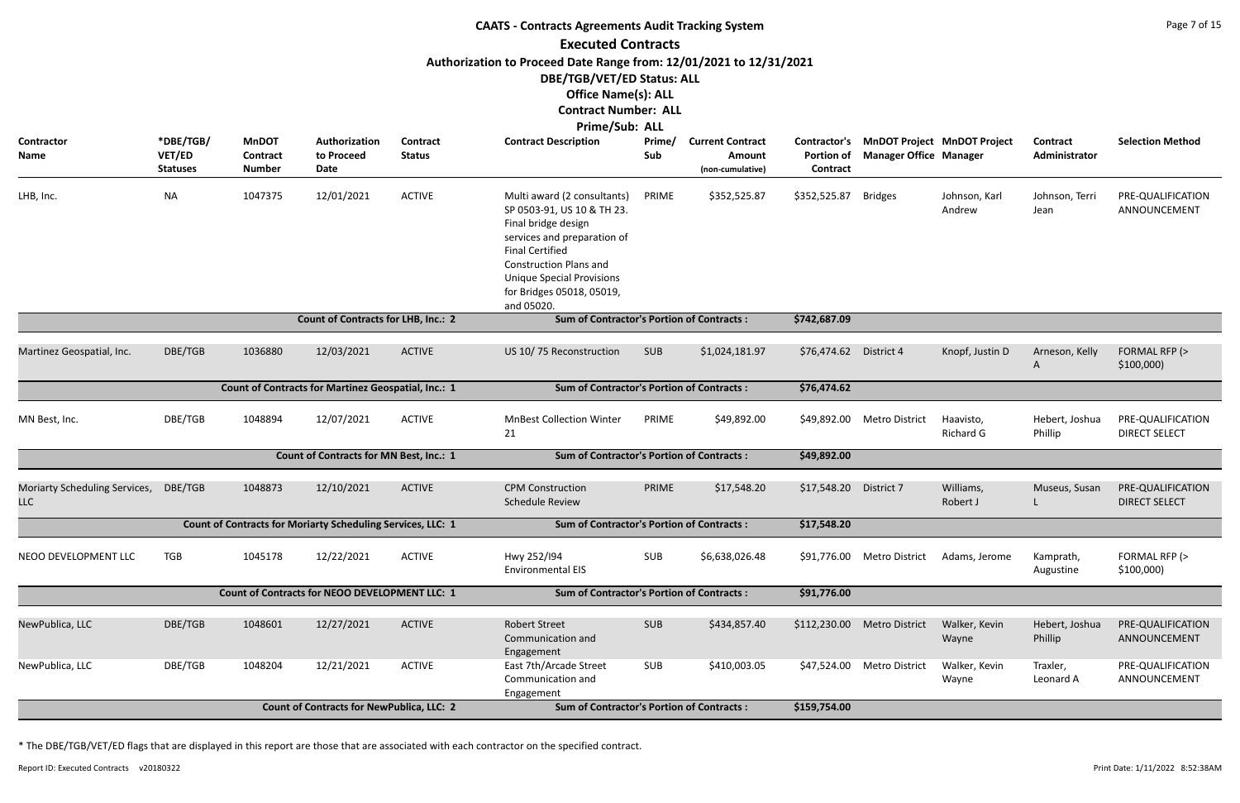| <b>CAATS - Contracts Agreements Audit Tracking System</b>                                                                                                                       |                                        |                                           |                                                             |                                  |                                                                                                                                                                                                                                                           |               |                                                       |                               |                                                                           |                               |                                  |                                           |  |
|---------------------------------------------------------------------------------------------------------------------------------------------------------------------------------|----------------------------------------|-------------------------------------------|-------------------------------------------------------------|----------------------------------|-----------------------------------------------------------------------------------------------------------------------------------------------------------------------------------------------------------------------------------------------------------|---------------|-------------------------------------------------------|-------------------------------|---------------------------------------------------------------------------|-------------------------------|----------------------------------|-------------------------------------------|--|
|                                                                                                                                                                                 |                                        |                                           |                                                             |                                  | <b>Executed Contracts</b>                                                                                                                                                                                                                                 |               |                                                       |                               |                                                                           |                               |                                  |                                           |  |
| Authorization to Proceed Date Range from: 12/01/2021 to 12/31/2021<br>DBE/TGB/VET/ED Status: ALL<br><b>Office Name(s): ALL</b><br><b>Contract Number: ALL</b><br>Prime/Sub: ALL |                                        |                                           |                                                             |                                  |                                                                                                                                                                                                                                                           |               |                                                       |                               |                                                                           |                               |                                  |                                           |  |
| <b>Contractor</b><br>Name                                                                                                                                                       | *DBE/TGB/<br>VET/ED<br><b>Statuses</b> | <b>MnDOT</b><br>Contract<br><b>Number</b> | Authorization<br>to Proceed<br><b>Date</b>                  | <b>Contract</b><br><b>Status</b> | <b>Contract Description</b>                                                                                                                                                                                                                               | Prime/<br>Sub | <b>Current Contract</b><br>Amount<br>(non-cumulative) | <b>Portion of</b><br>Contract | Contractor's MnDOT Project MnDOT Project<br><b>Manager Office Manager</b> |                               | <b>Contract</b><br>Administrator | <b>Selection Method</b>                   |  |
| LHB, Inc.                                                                                                                                                                       | <b>NA</b>                              | 1047375                                   | 12/01/2021                                                  | <b>ACTIVE</b>                    | Multi award (2 consultants)<br>SP 0503-91, US 10 & TH 23.<br>Final bridge design<br>services and preparation of<br><b>Final Certified</b><br><b>Construction Plans and</b><br><b>Unique Special Provisions</b><br>for Bridges 05018, 05019,<br>and 05020. | PRIME         | \$352,525.87                                          | \$352,525.87                  | <b>Bridges</b>                                                            | Johnson, Karl<br>Andrew       | Johnson, Terri<br>Jean           | PRE-QUALIFICATION<br>ANNOUNCEMENT         |  |
| <b>Count of Contracts for LHB, Inc.: 2</b><br><b>Sum of Contractor's Portion of Contracts:</b><br>\$742,687.09                                                                  |                                        |                                           |                                                             |                                  |                                                                                                                                                                                                                                                           |               |                                                       |                               |                                                                           |                               |                                  |                                           |  |
| Martinez Geospatial, Inc.                                                                                                                                                       | DBE/TGB                                | 1036880                                   | 12/03/2021                                                  | <b>ACTIVE</b>                    | US 10/75 Reconstruction                                                                                                                                                                                                                                   | SUB           | \$1,024,181.97                                        | \$76,474.62                   | District 4                                                                | Knopf, Justin D               | Arneson, Kelly<br>A              | FORMAL RFP (><br>\$100,000                |  |
|                                                                                                                                                                                 |                                        |                                           | Count of Contracts for Martinez Geospatial, Inc.: 1         |                                  | <b>Sum of Contractor's Portion of Contracts:</b>                                                                                                                                                                                                          |               |                                                       | \$76,474.62                   |                                                                           |                               |                                  |                                           |  |
| MN Best, Inc.                                                                                                                                                                   | DBE/TGB                                | 1048894                                   | 12/07/2021                                                  | <b>ACTIVE</b>                    | <b>MnBest Collection Winter</b><br>21                                                                                                                                                                                                                     | PRIME         | \$49,892.00                                           |                               | \$49,892.00 Metro District                                                | Haavisto,<br><b>Richard G</b> | Hebert, Joshua<br>Phillip        | PRE-QUALIFICATION<br><b>DIRECT SELECT</b> |  |
|                                                                                                                                                                                 |                                        |                                           | <b>Count of Contracts for MN Best, Inc.: 1</b>              |                                  | <b>Sum of Contractor's Portion of Contracts:</b>                                                                                                                                                                                                          |               |                                                       | \$49,892.00                   |                                                                           |                               |                                  |                                           |  |
| Moriarty Scheduling Services, DBE/TGB<br><b>LLC</b>                                                                                                                             |                                        | 1048873                                   | 12/10/2021                                                  | <b>ACTIVE</b>                    | <b>CPM Construction</b><br><b>Schedule Review</b>                                                                                                                                                                                                         | PRIME         | \$17,548.20                                           | \$17,548.20 District 7        |                                                                           | Williams,<br>Robert J         | Museus, Susan                    | PRE-QUALIFICATION<br><b>DIRECT SELECT</b> |  |
|                                                                                                                                                                                 |                                        |                                           | Count of Contracts for Moriarty Scheduling Services, LLC: 1 |                                  | <b>Sum of Contractor's Portion of Contracts:</b>                                                                                                                                                                                                          |               |                                                       | \$17,548.20                   |                                                                           |                               |                                  |                                           |  |
| NEOO DEVELOPMENT LLC                                                                                                                                                            | <b>TGB</b>                             | 1045178                                   | 12/22/2021                                                  | <b>ACTIVE</b>                    | Hwy 252/194<br><b>Environmental EIS</b>                                                                                                                                                                                                                   | SUB           | \$6,638,026.48                                        | \$91,776.00                   | Metro District                                                            | Adams, Jerome                 | Kamprath,<br>Augustine           | FORMAL RFP (><br>\$100,000                |  |
|                                                                                                                                                                                 |                                        |                                           | <b>Count of Contracts for NEOO DEVELOPMENT LLC: 1</b>       |                                  | <b>Sum of Contractor's Portion of Contracts:</b>                                                                                                                                                                                                          |               |                                                       | \$91,776.00                   |                                                                           |                               |                                  |                                           |  |
| NewPublica, LLC                                                                                                                                                                 | DBE/TGB                                | 1048601                                   | 12/27/2021                                                  | <b>ACTIVE</b>                    | <b>Robert Street</b><br>Communication and<br>Engagement                                                                                                                                                                                                   | <b>SUB</b>    | \$434,857.40                                          | \$112,230.00                  | <b>Metro District</b>                                                     | Walker, Kevin<br>Wayne        | Hebert, Joshua<br>Phillip        | PRE-QUALIFICATION<br>ANNOUNCEMENT         |  |
| NewPublica, LLC                                                                                                                                                                 | DBE/TGB                                | 1048204                                   | 12/21/2021                                                  | <b>ACTIVE</b>                    | East 7th/Arcade Street<br>Communication and<br>Engagement                                                                                                                                                                                                 | <b>SUB</b>    | \$410,003.05                                          | \$47,524.00                   | <b>Metro District</b>                                                     | Walker, Kevin<br>Wayne        | Traxler,<br>Leonard A            | PRE-QUALIFICATION<br>ANNOUNCEMENT         |  |
|                                                                                                                                                                                 |                                        |                                           | <b>Count of Contracts for NewPublica, LLC: 2</b>            |                                  | <b>Sum of Contractor's Portion of Contracts:</b>                                                                                                                                                                                                          |               |                                                       | \$159,754.00                  |                                                                           |                               |                                  |                                           |  |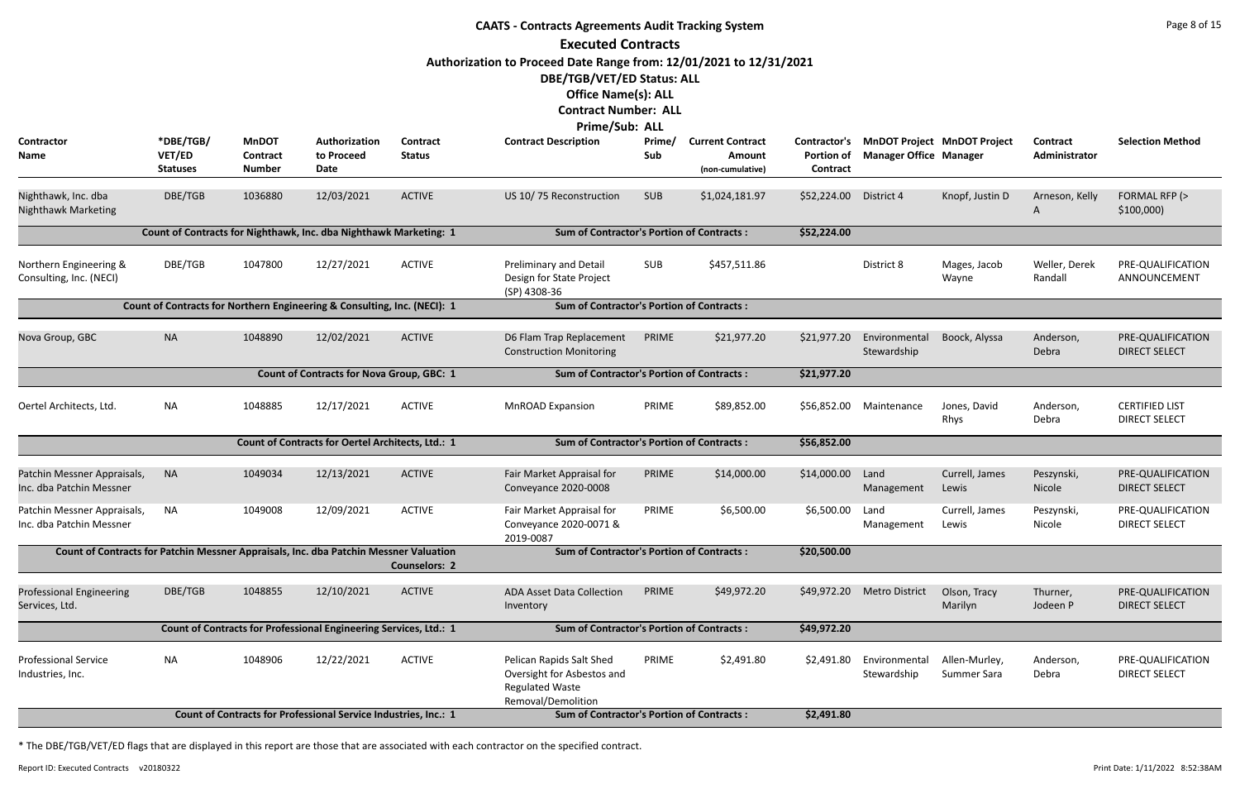|                                                                                       | <b>CAATS - Contracts Agreements Audit Tracking System</b> |                                           |                                                                          |                                  |                                                                                                        |               |                                                              |                                               |                               |                                    |                           |                                               |  |  |
|---------------------------------------------------------------------------------------|-----------------------------------------------------------|-------------------------------------------|--------------------------------------------------------------------------|----------------------------------|--------------------------------------------------------------------------------------------------------|---------------|--------------------------------------------------------------|-----------------------------------------------|-------------------------------|------------------------------------|---------------------------|-----------------------------------------------|--|--|
|                                                                                       |                                                           |                                           |                                                                          |                                  | <b>Executed Contracts</b>                                                                              |               |                                                              |                                               |                               |                                    |                           |                                               |  |  |
|                                                                                       |                                                           |                                           |                                                                          |                                  | Authorization to Proceed Date Range from: 12/01/2021 to 12/31/2021                                     |               |                                                              |                                               |                               |                                    |                           |                                               |  |  |
|                                                                                       |                                                           |                                           |                                                                          |                                  | DBE/TGB/VET/ED Status: ALL                                                                             |               |                                                              |                                               |                               |                                    |                           |                                               |  |  |
|                                                                                       |                                                           |                                           |                                                                          |                                  | <b>Office Name(s): ALL</b>                                                                             |               |                                                              |                                               |                               |                                    |                           |                                               |  |  |
|                                                                                       |                                                           |                                           |                                                                          |                                  | <b>Contract Number: ALL</b>                                                                            |               |                                                              |                                               |                               |                                    |                           |                                               |  |  |
|                                                                                       |                                                           |                                           |                                                                          |                                  | Prime/Sub: ALL                                                                                         |               |                                                              |                                               |                               |                                    |                           |                                               |  |  |
| Contractor<br>Name                                                                    | *DBE/TGB/<br>VET/ED<br><b>Statuses</b>                    | <b>MnDOT</b><br>Contract<br><b>Number</b> | Authorization<br>to Proceed<br>Date                                      | <b>Contract</b><br><b>Status</b> | <b>Contract Description</b>                                                                            | Prime/<br>Sub | <b>Current Contract</b><br><b>Amount</b><br>(non-cumulative) | Contractor's<br><b>Portion of</b><br>Contract | <b>Manager Office Manager</b> | <b>MnDOT Project MnDOT Project</b> | Contract<br>Administrator | <b>Selection Method</b>                       |  |  |
| Nighthawk, Inc. dba<br><b>Nighthawk Marketing</b>                                     | DBE/TGB                                                   | 1036880                                   | 12/03/2021                                                               | <b>ACTIVE</b>                    | US 10/75 Reconstruction                                                                                | <b>SUB</b>    | \$1,024,181.97                                               | \$52,224.00                                   | District 4                    | Knopf, Justin D                    | Arneson, Kelly<br>A       | FORMAL RFP (><br>\$100,000                    |  |  |
|                                                                                       |                                                           |                                           | Count of Contracts for Nighthawk, Inc. dba Nighthawk Marketing: 1        |                                  | <b>Sum of Contractor's Portion of Contracts:</b>                                                       |               |                                                              | \$52,224.00                                   |                               |                                    |                           |                                               |  |  |
| Northern Engineering &<br>Consulting, Inc. (NECI)                                     | DBE/TGB                                                   | 1047800                                   | 12/27/2021                                                               | <b>ACTIVE</b>                    | <b>Preliminary and Detail</b><br>Design for State Project<br>(SP) 4308-36                              | <b>SUB</b>    | \$457,511.86                                                 |                                               | District 8                    | Mages, Jacob<br>Wayne              | Weller, Derek<br>Randall  | PRE-QUALIFICATION<br>ANNOUNCEMENT             |  |  |
|                                                                                       |                                                           |                                           | Count of Contracts for Northern Engineering & Consulting, Inc. (NECI): 1 |                                  | <b>Sum of Contractor's Portion of Contracts:</b>                                                       |               |                                                              |                                               |                               |                                    |                           |                                               |  |  |
| Nova Group, GBC                                                                       | <b>NA</b>                                                 | 1048890                                   | 12/02/2021                                                               | <b>ACTIVE</b>                    | D6 Flam Trap Replacement<br><b>Construction Monitoring</b>                                             | PRIME         | \$21,977.20                                                  | \$21,977.20                                   | Environmental<br>Stewardship  | Boock, Alyssa                      | Anderson,<br>Debra        | PRE-QUALIFICATION<br><b>DIRECT SELECT</b>     |  |  |
|                                                                                       |                                                           |                                           | <b>Count of Contracts for Nova Group, GBC: 1</b>                         |                                  | <b>Sum of Contractor's Portion of Contracts:</b>                                                       |               |                                                              | \$21,977.20                                   |                               |                                    |                           |                                               |  |  |
| Oertel Architects, Ltd.                                                               | NA                                                        | 1048885                                   | 12/17/2021                                                               | <b>ACTIVE</b>                    | <b>MnROAD Expansion</b>                                                                                | PRIME         | \$89,852.00                                                  | \$56,852.00                                   | Maintenance                   | Jones, David<br>Rhys               | Anderson,<br>Debra        | <b>CERTIFIED LIST</b><br><b>DIRECT SELECT</b> |  |  |
|                                                                                       |                                                           |                                           | Count of Contracts for Oertel Architects, Ltd.: 1                        |                                  | <b>Sum of Contractor's Portion of Contracts:</b>                                                       |               |                                                              | \$56,852.00                                   |                               |                                    |                           |                                               |  |  |
| Patchin Messner Appraisals,<br>Inc. dba Patchin Messner                               | <b>NA</b>                                                 | 1049034                                   | 12/13/2021                                                               | <b>ACTIVE</b>                    | Fair Market Appraisal for<br>Conveyance 2020-0008                                                      | PRIME         | \$14,000.00                                                  | \$14,000.00 Land                              | Management                    | Currell, James<br>Lewis            | Peszynski,<br>Nicole      | PRE-QUALIFICATION<br><b>DIRECT SELECT</b>     |  |  |
| Patchin Messner Appraisals,<br>Inc. dba Patchin Messner                               | <b>NA</b>                                                 | 1049008                                   | 12/09/2021                                                               | <b>ACTIVE</b>                    | Fair Market Appraisal for<br>Conveyance 2020-0071 &<br>2019-0087                                       | PRIME         | \$6,500.00                                                   | \$6,500.00                                    | Land<br>Management            | Currell, James<br>Lewis            | Peszynski,<br>Nicole      | PRE-QUALIFICATION<br><b>DIRECT SELECT</b>     |  |  |
| Count of Contracts for Patchin Messner Appraisals, Inc. dba Patchin Messner Valuation |                                                           |                                           |                                                                          | <b>Counselors: 2</b>             | <b>Sum of Contractor's Portion of Contracts:</b>                                                       |               |                                                              | \$20,500.00                                   |                               |                                    |                           |                                               |  |  |
| <b>Professional Engineering</b><br>Services, Ltd.                                     | DBE/TGB                                                   | 1048855                                   | 12/10/2021                                                               | <b>ACTIVE</b>                    | <b>ADA Asset Data Collection</b><br>Inventory                                                          | PRIME         | \$49,972.20                                                  |                                               | \$49,972.20 Metro District    | Olson, Tracy<br>Marilyn            | Thurner,<br>Jodeen P      | PRE-QUALIFICATION<br><b>DIRECT SELECT</b>     |  |  |
|                                                                                       |                                                           |                                           | Count of Contracts for Professional Engineering Services, Ltd.: 1        |                                  | <b>Sum of Contractor's Portion of Contracts:</b>                                                       |               |                                                              | \$49,972.20                                   |                               |                                    |                           |                                               |  |  |
| <b>Professional Service</b><br>Industries, Inc.                                       | NA                                                        | 1048906                                   | 12/22/2021                                                               | <b>ACTIVE</b>                    | Pelican Rapids Salt Shed<br>Oversight for Asbestos and<br><b>Regulated Waste</b><br>Removal/Demolition | PRIME         | \$2,491.80                                                   | \$2,491.80                                    | Environmental<br>Stewardship  | Allen-Murley,<br>Summer Sara       | Anderson,<br>Debra        | PRE-QUALIFICATION<br><b>DIRECT SELECT</b>     |  |  |
|                                                                                       |                                                           |                                           | Count of Contracts for Professional Service Industries, Inc.: 1          |                                  | <b>Sum of Contractor's Portion of Contracts:</b>                                                       |               |                                                              | \$2,491.80                                    |                               |                                    |                           |                                               |  |  |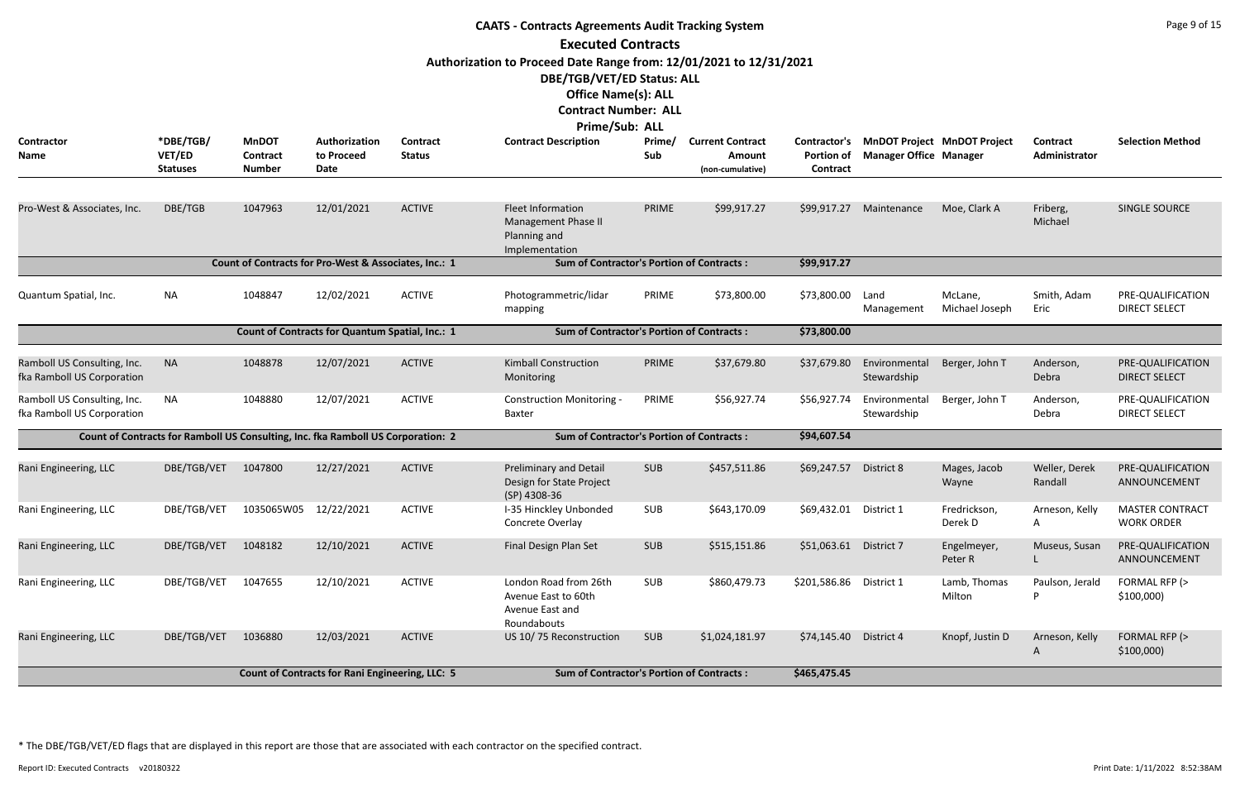| <b>CAATS - Contracts Agreements Audit Tracking System</b><br><b>Executed Contracts</b>                                                                                          |                                                                                  |                                                  |                                                        |                                                  |                                                                                   |               |                                                       |                                               |                                                                     |                           |                           |                                             |  |
|---------------------------------------------------------------------------------------------------------------------------------------------------------------------------------|----------------------------------------------------------------------------------|--------------------------------------------------|--------------------------------------------------------|--------------------------------------------------|-----------------------------------------------------------------------------------|---------------|-------------------------------------------------------|-----------------------------------------------|---------------------------------------------------------------------|---------------------------|---------------------------|---------------------------------------------|--|
|                                                                                                                                                                                 |                                                                                  |                                                  |                                                        |                                                  |                                                                                   |               |                                                       |                                               |                                                                     |                           |                           |                                             |  |
| Authorization to Proceed Date Range from: 12/01/2021 to 12/31/2021<br>DBE/TGB/VET/ED Status: ALL<br><b>Office Name(s): ALL</b><br><b>Contract Number: ALL</b><br>Prime/Sub: ALL |                                                                                  |                                                  |                                                        |                                                  |                                                                                   |               |                                                       |                                               |                                                                     |                           |                           |                                             |  |
| Contractor<br>Name                                                                                                                                                              | *DBE/TGB/<br>VET/ED<br><b>Statuses</b>                                           | <b>MnDOT</b><br><b>Contract</b><br><b>Number</b> | Authorization<br>to Proceed<br>Date                    | Contract<br><b>Status</b>                        | <b>Contract Description</b>                                                       | Prime/<br>Sub | <b>Current Contract</b><br>Amount<br>(non-cumulative) | Contractor's<br><b>Portion of</b><br>Contract | <b>MnDOT Project MnDOT Project</b><br><b>Manager Office Manager</b> |                           | Contract<br>Administrator | <b>Selection Method</b>                     |  |
| Pro-West & Associates, Inc.                                                                                                                                                     | DBE/TGB                                                                          | 1047963                                          | 12/01/2021                                             | <b>ACTIVE</b>                                    | <b>Fleet Information</b><br>Management Phase II<br>Planning and<br>Implementation | PRIME         | \$99,917.27                                           | \$99,917.27                                   | Maintenance                                                         | Moe, Clark A              | Friberg,<br>Michael       | SINGLE SOURCE                               |  |
|                                                                                                                                                                                 |                                                                                  |                                                  | Count of Contracts for Pro-West & Associates, Inc.: 1  |                                                  | <b>Sum of Contractor's Portion of Contracts:</b>                                  |               |                                                       | \$99,917.27                                   |                                                                     |                           |                           |                                             |  |
| Quantum Spatial, Inc.                                                                                                                                                           | <b>NA</b>                                                                        | 1048847                                          | 12/02/2021                                             | <b>ACTIVE</b>                                    | Photogrammetric/lidar<br>mapping                                                  | PRIME         | \$73,800.00                                           | \$73,800.00                                   | Land<br>Management                                                  | McLane,<br>Michael Joseph | Smith, Adam<br>Eric       | PRE-QUALIFICATION<br><b>DIRECT SELECT</b>   |  |
|                                                                                                                                                                                 |                                                                                  |                                                  | Count of Contracts for Quantum Spatial, Inc.: 1        | <b>Sum of Contractor's Portion of Contracts:</b> | \$73,800.00                                                                       |               |                                                       |                                               |                                                                     |                           |                           |                                             |  |
| Ramboll US Consulting, Inc.<br>fka Ramboll US Corporation                                                                                                                       | <b>NA</b>                                                                        | 1048878                                          | 12/07/2021                                             | <b>ACTIVE</b>                                    | <b>Kimball Construction</b><br>Monitoring                                         | PRIME         | \$37,679.80                                           | \$37,679.80                                   | Environmental<br>Stewardship                                        | Berger, John T            | Anderson,<br>Debra        | PRE-QUALIFICATION<br><b>DIRECT SELECT</b>   |  |
| Ramboll US Consulting, Inc.<br>fka Ramboll US Corporation                                                                                                                       | <b>NA</b>                                                                        | 1048880                                          | 12/07/2021                                             | <b>ACTIVE</b>                                    | <b>Construction Monitoring -</b><br>Baxter                                        | PRIME         | \$56,927.74                                           | \$56,927.74                                   | Environmental<br>Stewardship                                        | Berger, John T            | Anderson,<br>Debra        | PRE-QUALIFICATION<br><b>DIRECT SELECT</b>   |  |
|                                                                                                                                                                                 | Count of Contracts for Ramboll US Consulting, Inc. fka Ramboll US Corporation: 2 |                                                  |                                                        |                                                  | <b>Sum of Contractor's Portion of Contracts:</b>                                  |               |                                                       | \$94,607.54                                   |                                                                     |                           |                           |                                             |  |
| Rani Engineering, LLC                                                                                                                                                           | DBE/TGB/VET                                                                      | 1047800                                          | 12/27/2021                                             | <b>ACTIVE</b>                                    | <b>Preliminary and Detail</b><br>Design for State Project<br>(SP) 4308-36         | <b>SUB</b>    | \$457,511.86                                          | \$69,247.57                                   | District 8                                                          | Mages, Jacob<br>Wayne     | Weller, Derek<br>Randall  | PRE-QUALIFICATION<br>ANNOUNCEMENT           |  |
| Rani Engineering, LLC                                                                                                                                                           | DBE/TGB/VET                                                                      | 1035065W05 12/22/2021                            |                                                        | <b>ACTIVE</b>                                    | I-35 Hinckley Unbonded<br>Concrete Overlay                                        | <b>SUB</b>    | \$643,170.09                                          | \$69,432.01                                   | District 1                                                          | Fredrickson,<br>Derek D   | Arneson, Kelly<br>A.      | <b>MASTER CONTRACT</b><br><b>WORK ORDER</b> |  |
| Rani Engineering, LLC                                                                                                                                                           | DBE/TGB/VET                                                                      | 1048182                                          | 12/10/2021                                             | <b>ACTIVE</b>                                    | Final Design Plan Set                                                             | <b>SUB</b>    | \$515,151.86                                          | \$51,063.61                                   | District 7                                                          | Engelmeyer,<br>Peter R    | Museus, Susan             | PRE-QUALIFICATION<br>ANNOUNCEMENT           |  |
| Rani Engineering, LLC                                                                                                                                                           | DBE/TGB/VET                                                                      | 1047655                                          | 12/10/2021                                             | <b>ACTIVE</b>                                    | London Road from 26th<br>Avenue East to 60th<br>Avenue East and<br>Roundabouts    | <b>SUB</b>    | \$860,479.73                                          | \$201,586.86                                  | District 1                                                          | Lamb, Thomas<br>Milton    | Paulson, Jerald<br>P      | FORMAL RFP (><br>\$100,000                  |  |
| Rani Engineering, LLC                                                                                                                                                           | DBE/TGB/VET                                                                      | 1036880                                          | 12/03/2021                                             | <b>ACTIVE</b>                                    | US 10/75 Reconstruction                                                           | <b>SUB</b>    | \$1,024,181.97                                        | \$74,145.40                                   | District 4                                                          | Knopf, Justin D           | Arneson, Kelly<br>A       | FORMAL RFP (><br>$$100,000$ )               |  |
|                                                                                                                                                                                 |                                                                                  |                                                  | <b>Count of Contracts for Rani Engineering, LLC: 5</b> |                                                  | <b>Sum of Contractor's Portion of Contracts:</b>                                  |               |                                                       | \$465,475.45                                  |                                                                     |                           |                           |                                             |  |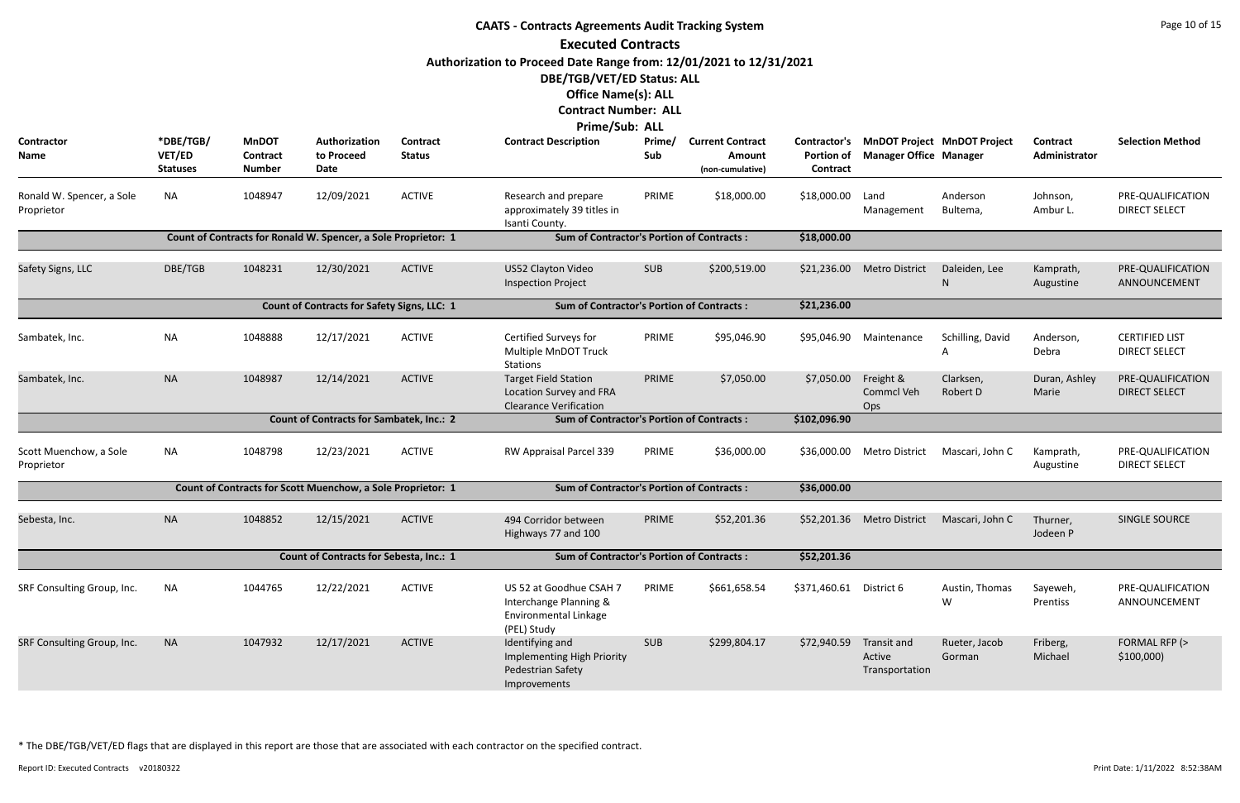|                                         | <b>CAATS - Contracts Agreements Audit Tracking System</b> |                                                  |                                                                |                           |                                                                                           |               |                                                       |                                                      |                                         |                                    |                                  |                                               |  |
|-----------------------------------------|-----------------------------------------------------------|--------------------------------------------------|----------------------------------------------------------------|---------------------------|-------------------------------------------------------------------------------------------|---------------|-------------------------------------------------------|------------------------------------------------------|-----------------------------------------|------------------------------------|----------------------------------|-----------------------------------------------|--|
|                                         |                                                           |                                                  |                                                                |                           | <b>Executed Contracts</b>                                                                 |               |                                                       |                                                      |                                         |                                    |                                  |                                               |  |
|                                         |                                                           |                                                  |                                                                |                           | Authorization to Proceed Date Range from: 12/01/2021 to 12/31/2021                        |               |                                                       |                                                      |                                         |                                    |                                  |                                               |  |
|                                         |                                                           |                                                  |                                                                |                           | DBE/TGB/VET/ED Status: ALL                                                                |               |                                                       |                                                      |                                         |                                    |                                  |                                               |  |
|                                         |                                                           |                                                  |                                                                |                           | <b>Office Name(s): ALL</b>                                                                |               |                                                       |                                                      |                                         |                                    |                                  |                                               |  |
|                                         |                                                           |                                                  |                                                                |                           | <b>Contract Number: ALL</b>                                                               |               |                                                       |                                                      |                                         |                                    |                                  |                                               |  |
|                                         |                                                           |                                                  |                                                                |                           | Prime/Sub: ALL                                                                            |               |                                                       |                                                      |                                         |                                    |                                  |                                               |  |
| Contractor<br>Name                      | *DBE/TGB/<br>VET/ED<br><b>Statuses</b>                    | <b>MnDOT</b><br><b>Contract</b><br><b>Number</b> | Authorization<br>to Proceed<br>Date                            | Contract<br><b>Status</b> | <b>Contract Description</b>                                                               | Prime/<br>Sub | <b>Current Contract</b><br>Amount<br>(non-cumulative) | Contractor's<br><b>Portion of</b><br><b>Contract</b> | <b>Manager Office Manager</b>           | <b>MnDOT Project MnDOT Project</b> | <b>Contract</b><br>Administrator | <b>Selection Method</b>                       |  |
| Ronald W. Spencer, a Sole<br>Proprietor | <b>NA</b>                                                 | 1048947                                          | 12/09/2021                                                     | <b>ACTIVE</b>             | Research and prepare<br>approximately 39 titles in<br>Isanti County.                      | PRIME         | \$18,000.00                                           | \$18,000.00                                          | Land<br>Management                      | Anderson<br>Bultema,               | Johnson,<br>Ambur L.             | PRE-QUALIFICATION<br><b>DIRECT SELECT</b>     |  |
|                                         |                                                           |                                                  | Count of Contracts for Ronald W. Spencer, a Sole Proprietor: 1 |                           | <b>Sum of Contractor's Portion of Contracts:</b>                                          |               |                                                       | \$18,000.00                                          |                                         |                                    |                                  |                                               |  |
| Safety Signs, LLC                       | DBE/TGB                                                   | 1048231                                          | 12/30/2021                                                     | <b>ACTIVE</b>             | US52 Clayton Video<br><b>Inspection Project</b>                                           | <b>SUB</b>    | \$200,519.00                                          | \$21,236.00                                          | <b>Metro District</b>                   | Daleiden, Lee<br>N                 | Kamprath,<br>Augustine           | PRE-QUALIFICATION<br>ANNOUNCEMENT             |  |
|                                         |                                                           |                                                  | Count of Contracts for Safety Signs, LLC: 1                    |                           | <b>Sum of Contractor's Portion of Contracts:</b>                                          |               |                                                       | \$21,236.00                                          |                                         |                                    |                                  |                                               |  |
| Sambatek, Inc.                          | <b>NA</b>                                                 | 1048888                                          | 12/17/2021                                                     | <b>ACTIVE</b>             | Certified Surveys for<br>Multiple MnDOT Truck<br><b>Stations</b>                          | PRIME         | \$95,046.90                                           | \$95,046.90                                          | Maintenance                             | Schilling, David                   | Anderson,<br>Debra               | <b>CERTIFIED LIST</b><br><b>DIRECT SELECT</b> |  |
| Sambatek, Inc.                          | <b>NA</b>                                                 | 1048987                                          | 12/14/2021                                                     | <b>ACTIVE</b>             | <b>Target Field Station</b><br>Location Survey and FRA<br><b>Clearance Verification</b>   | PRIME         | \$7,050.00                                            | \$7,050.00                                           | Freight &<br>Commcl Veh<br>Ops          | Clarksen,<br>Robert D              | Duran, Ashley<br>Marie           | PRE-QUALIFICATION<br><b>DIRECT SELECT</b>     |  |
|                                         |                                                           |                                                  | <b>Count of Contracts for Sambatek, Inc.: 2</b>                |                           | <b>Sum of Contractor's Portion of Contracts:</b>                                          |               |                                                       | \$102,096.90                                         |                                         |                                    |                                  |                                               |  |
| Scott Muenchow, a Sole<br>Proprietor    | NA                                                        | 1048798                                          | 12/23/2021                                                     | <b>ACTIVE</b>             | RW Appraisal Parcel 339                                                                   | PRIME         | \$36,000.00                                           | \$36,000.00                                          | <b>Metro District</b>                   | Mascari, John C                    | Kamprath,<br>Augustine           | PRE-QUALIFICATION<br><b>DIRECT SELECT</b>     |  |
|                                         |                                                           |                                                  | Count of Contracts for Scott Muenchow, a Sole Proprietor: 1    |                           | <b>Sum of Contractor's Portion of Contracts:</b>                                          |               |                                                       | \$36,000.00                                          |                                         |                                    |                                  |                                               |  |
| Sebesta, Inc.                           | <b>NA</b>                                                 | 1048852                                          | 12/15/2021                                                     | <b>ACTIVE</b>             | 494 Corridor between<br>Highways 77 and 100                                               | PRIME         | \$52,201.36                                           |                                                      | \$52,201.36 Metro District              | Mascari, John C                    | Thurner,<br>Jodeen P             | SINGLE SOURCE                                 |  |
|                                         |                                                           |                                                  | <b>Count of Contracts for Sebesta, Inc.: 1</b>                 |                           | <b>Sum of Contractor's Portion of Contracts:</b>                                          |               |                                                       | \$52,201.36                                          |                                         |                                    |                                  |                                               |  |
| SRF Consulting Group, Inc.              | <b>NA</b>                                                 | 1044765                                          | 12/22/2021                                                     | <b>ACTIVE</b>             | US 52 at Goodhue CSAH 7<br>Interchange Planning &<br>Environmental Linkage<br>(PEL) Study | PRIME         | \$661,658.54                                          | \$371,460.61                                         | District 6                              | Austin, Thomas<br>W                | Sayeweh,<br>Prentiss             | PRE-QUALIFICATION<br>ANNOUNCEMENT             |  |
| SRF Consulting Group, Inc.              | <b>NA</b>                                                 | 1047932                                          | 12/17/2021                                                     | <b>ACTIVE</b>             | Identifying and<br>Implementing High Priority<br>Pedestrian Safety<br>Improvements        | <b>SUB</b>    | \$299,804.17                                          | \$72,940.59                                          | Transit and<br>Active<br>Transportation | Rueter, Jacob<br>Gorman            | Friberg,<br>Michael              | FORMAL RFP (><br>\$100,000                    |  |
|                                         |                                                           |                                                  |                                                                |                           |                                                                                           |               |                                                       |                                                      |                                         |                                    |                                  |                                               |  |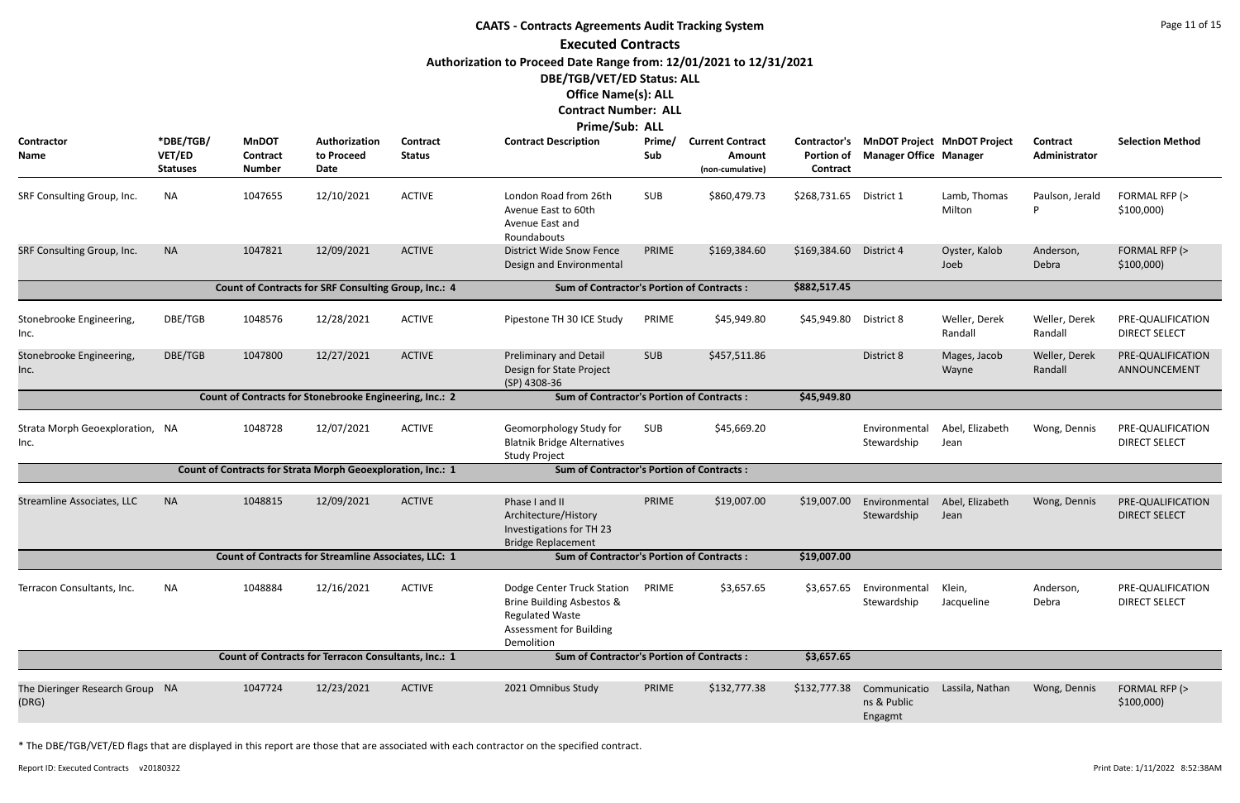# **CAATS - Contracts Agreements Audit Tracking System Executed Contracts Authorization to Proceed Date Range from: 12/01/2021 to 12/31/2021 DBE/TGB/VET/ED Status: ALL Office Name(s): ALL**

#### **Contract Number: ALL Prime/Sub: ALL**

| Contractor<br><b>Name</b>                | *DBE/TGB/<br><b>VET/ED</b><br><b>Statuses</b> | <b>MnDOT</b><br>Contract<br><b>Number</b>                   | Authorization<br>to Proceed<br>Date | Contract<br><b>Status</b> | <u>, , ,,,,,,,</u> ,,,,,<br><b>Contract Description</b>                                                                           | <u>льь</u><br>Prime/<br>Sub | <b>Current Contract</b><br>Amount<br>(non-cumulative) | <b>Contractor's</b><br><b>Portion of</b><br>Contract | <b>MnDOT Project MnDOT Project</b><br><b>Manager Office Manager</b> |                          | <b>Contract</b><br>Administrator | <b>Selection Method</b>                   |
|------------------------------------------|-----------------------------------------------|-------------------------------------------------------------|-------------------------------------|---------------------------|-----------------------------------------------------------------------------------------------------------------------------------|-----------------------------|-------------------------------------------------------|------------------------------------------------------|---------------------------------------------------------------------|--------------------------|----------------------------------|-------------------------------------------|
| SRF Consulting Group, Inc.               | <b>NA</b>                                     | 1047655                                                     | 12/10/2021                          | <b>ACTIVE</b>             | London Road from 26th<br>Avenue East to 60th<br>Avenue East and<br>Roundabouts                                                    | <b>SUB</b>                  | \$860,479.73                                          | \$268,731.65                                         | District 1                                                          | Lamb, Thomas<br>Milton   | Paulson, Jerald<br>D             | FORMAL RFP (><br>\$100,000                |
| SRF Consulting Group, Inc.               | <b>NA</b>                                     | 1047821                                                     | 12/09/2021                          | <b>ACTIVE</b>             | <b>District Wide Snow Fence</b><br>Design and Environmental                                                                       | PRIME                       | \$169,384.60                                          | \$169,384.60                                         | District 4                                                          | Oyster, Kalob<br>Joeb    | Anderson,<br>Debra               | FORMAL RFP (><br>\$100,000                |
|                                          |                                               | Count of Contracts for SRF Consulting Group, Inc.: 4        |                                     |                           | <b>Sum of Contractor's Portion of Contracts:</b>                                                                                  |                             |                                                       | \$882,517.45                                         |                                                                     |                          |                                  |                                           |
| Stonebrooke Engineering,<br>Inc.         | DBE/TGB                                       | 1048576                                                     | 12/28/2021                          | <b>ACTIVE</b>             | Pipestone TH 30 ICE Study                                                                                                         | PRIME                       | \$45,949.80                                           | \$45,949.80                                          | District 8                                                          | Weller, Derek<br>Randall | Weller, Derek<br>Randall         | PRE-QUALIFICATION<br><b>DIRECT SELECT</b> |
| Stonebrooke Engineering,<br>Inc.         | DBE/TGB                                       | 1047800                                                     | 12/27/2021                          | <b>ACTIVE</b>             | Preliminary and Detail<br>Design for State Project<br>(SP) 4308-36                                                                | <b>SUB</b>                  | \$457,511.86                                          |                                                      | District 8                                                          | Mages, Jacob<br>Wayne    | Weller, Derek<br>Randall         | PRE-QUALIFICATION<br>ANNOUNCEMENT         |
|                                          |                                               | Count of Contracts for Stonebrooke Engineering, Inc.: 2     |                                     |                           | <b>Sum of Contractor's Portion of Contracts:</b>                                                                                  |                             |                                                       | \$45,949.80                                          |                                                                     |                          |                                  |                                           |
| Strata Morph Geoexploration, NA<br>Inc.  |                                               | 1048728                                                     | 12/07/2021                          | <b>ACTIVE</b>             | Geomorphology Study for<br><b>Blatnik Bridge Alternatives</b><br><b>Study Project</b>                                             | SUB                         | \$45,669.20                                           |                                                      | Environmental<br>Stewardship                                        | Abel, Elizabeth<br>Jean  | Wong, Dennis                     | PRE-QUALIFICATION<br><b>DIRECT SELECT</b> |
|                                          |                                               | Count of Contracts for Strata Morph Geoexploration, Inc.: 1 |                                     |                           | <b>Sum of Contractor's Portion of Contracts:</b>                                                                                  |                             |                                                       |                                                      |                                                                     |                          |                                  |                                           |
| <b>Streamline Associates, LLC</b>        | <b>NA</b>                                     | 1048815                                                     | 12/09/2021                          | <b>ACTIVE</b>             | Phase I and II<br>Architecture/History<br>Investigations for TH 23<br><b>Bridge Replacement</b>                                   | PRIME                       | \$19,007.00                                           | \$19,007.00                                          | Environmental<br>Stewardship                                        | Abel, Elizabeth<br>Jean  | Wong, Dennis                     | PRE-QUALIFICATION<br><b>DIRECT SELECT</b> |
|                                          |                                               | <b>Count of Contracts for Streamline Associates, LLC: 1</b> |                                     |                           | <b>Sum of Contractor's Portion of Contracts:</b>                                                                                  |                             |                                                       | \$19,007.00                                          |                                                                     |                          |                                  |                                           |
| Terracon Consultants, Inc.               | NA                                            | 1048884                                                     | 12/16/2021                          | <b>ACTIVE</b>             | Dodge Center Truck Station<br>Brine Building Asbestos &<br><b>Regulated Waste</b><br><b>Assessment for Building</b><br>Demolition | PRIME                       | \$3,657.65                                            | \$3,657.65                                           | Environmental<br>Stewardship                                        | Klein,<br>Jacqueline     | Anderson,<br>Debra               | PRE-QUALIFICATION<br><b>DIRECT SELECT</b> |
|                                          |                                               | Count of Contracts for Terracon Consultants, Inc.: 1        |                                     |                           | <b>Sum of Contractor's Portion of Contracts:</b>                                                                                  |                             |                                                       | \$3,657.65                                           |                                                                     |                          |                                  |                                           |
| The Dieringer Research Group NA<br>(DRG) |                                               | 1047724                                                     | 12/23/2021                          | <b>ACTIVE</b>             | 2021 Omnibus Study                                                                                                                | PRIME                       | \$132,777.38                                          | \$132,777.38                                         | Communicatio<br>ns & Public<br>Engagmt                              | Lassila, Nathan          | Wong, Dennis                     | FORMAL RFP (><br>\$100,000                |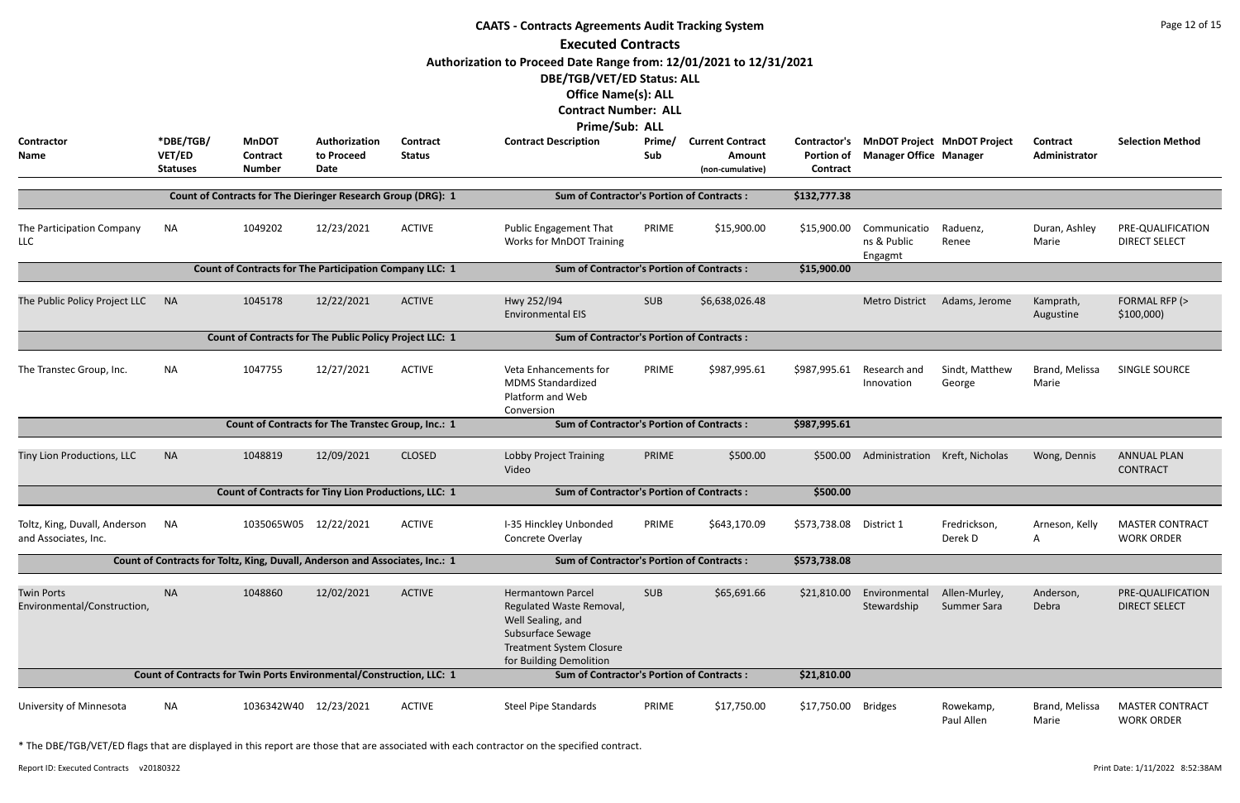|                                                       | <b>CAATS - Contracts Agreements Audit Tracking System</b><br><b>Executed Contracts</b> |                                                                              |                                     |                                  |                                                                                                                                                                                                                |               |                                                              |                               |                                        |                                          |                           |                                             |  |
|-------------------------------------------------------|----------------------------------------------------------------------------------------|------------------------------------------------------------------------------|-------------------------------------|----------------------------------|----------------------------------------------------------------------------------------------------------------------------------------------------------------------------------------------------------------|---------------|--------------------------------------------------------------|-------------------------------|----------------------------------------|------------------------------------------|---------------------------|---------------------------------------------|--|
| Contractor<br>Name                                    | *DBE/TGB/<br>VET/ED<br><b>Statuses</b>                                                 | <b>MnDOT</b><br>Contract<br><b>Number</b>                                    | Authorization<br>to Proceed<br>Date | <b>Contract</b><br><b>Status</b> | Authorization to Proceed Date Range from: 12/01/2021 to 12/31/2021<br>DBE/TGB/VET/ED Status: ALL<br><b>Office Name(s): ALL</b><br><b>Contract Number: ALL</b><br>Prime/Sub: ALL<br><b>Contract Description</b> | Prime/<br>Sub | <b>Current Contract</b><br><b>Amount</b><br>(non-cumulative) | <b>Portion of</b><br>Contract | <b>Manager Office Manager</b>          | Contractor's MnDOT Project MnDOT Project | Contract<br>Administrator | <b>Selection Method</b>                     |  |
|                                                       |                                                                                        | Count of Contracts for The Dieringer Research Group (DRG): 1                 |                                     |                                  | <b>Sum of Contractor's Portion of Contracts:</b>                                                                                                                                                               |               |                                                              | \$132,777.38                  |                                        |                                          |                           |                                             |  |
| The Participation Company<br><b>LLC</b>               | <b>NA</b>                                                                              | 1049202                                                                      | 12/23/2021                          | <b>ACTIVE</b>                    | Public Engagement That<br>Works for MnDOT Training                                                                                                                                                             | PRIME         | \$15,900.00                                                  | \$15,900.00                   | Communicatio<br>ns & Public<br>Engagmt | Raduenz,<br>Renee                        | Duran, Ashley<br>Marie    | PRE-QUALIFICATION<br><b>DIRECT SELECT</b>   |  |
|                                                       |                                                                                        | <b>Count of Contracts for The Participation Company LLC: 1</b>               |                                     |                                  | <b>Sum of Contractor's Portion of Contracts:</b>                                                                                                                                                               |               |                                                              | \$15,900.00                   |                                        |                                          |                           |                                             |  |
| The Public Policy Project LLC                         | <b>NA</b>                                                                              | 1045178                                                                      | 12/22/2021                          | <b>ACTIVE</b>                    | Hwy 252/194<br><b>Environmental EIS</b>                                                                                                                                                                        | <b>SUB</b>    | \$6,638,026.48                                               |                               | <b>Metro District</b>                  | Adams, Jerome                            | Kamprath,<br>Augustine    | FORMAL RFP (><br>\$100,000                  |  |
|                                                       |                                                                                        | Count of Contracts for The Public Policy Project LLC: 1                      |                                     |                                  | <b>Sum of Contractor's Portion of Contracts:</b>                                                                                                                                                               |               |                                                              |                               |                                        |                                          |                           |                                             |  |
| The Transtec Group, Inc.                              | <b>NA</b>                                                                              | 1047755                                                                      | 12/27/2021                          | <b>ACTIVE</b>                    | Veta Enhancements for<br><b>MDMS Standardized</b><br>Platform and Web<br>Conversion                                                                                                                            | PRIME         | \$987,995.61                                                 | \$987,995.61                  | Research and<br>Innovation             | Sindt, Matthew<br>George                 | Brand, Melissa<br>Marie   | SINGLE SOURCE                               |  |
|                                                       |                                                                                        | Count of Contracts for The Transtec Group, Inc.: 1                           |                                     |                                  | <b>Sum of Contractor's Portion of Contracts:</b>                                                                                                                                                               |               |                                                              | \$987,995.61                  |                                        |                                          |                           |                                             |  |
| Tiny Lion Productions, LLC                            | <b>NA</b>                                                                              | 1048819                                                                      | 12/09/2021                          | <b>CLOSED</b>                    | Lobby Project Training<br>Video                                                                                                                                                                                | PRIME         | \$500.00                                                     | \$500.00                      | Administration                         | Kreft, Nicholas                          | Wong, Dennis              | <b>ANNUAL PLAN</b><br><b>CONTRACT</b>       |  |
|                                                       |                                                                                        | <b>Count of Contracts for Tiny Lion Productions, LLC: 1</b>                  |                                     |                                  | <b>Sum of Contractor's Portion of Contracts:</b>                                                                                                                                                               |               |                                                              | \$500.00                      |                                        |                                          |                           |                                             |  |
| Toltz, King, Duvall, Anderson<br>and Associates, Inc. | <b>NA</b>                                                                              | 1035065W05 12/22/2021                                                        |                                     | <b>ACTIVE</b>                    | I-35 Hinckley Unbonded<br>Concrete Overlay                                                                                                                                                                     | PRIME         | \$643,170.09                                                 | \$573,738.08                  | District 1                             | Fredrickson,<br>Derek D                  | Arneson, Kelly<br>A       | <b>MASTER CONTRACT</b><br><b>WORK ORDER</b> |  |
|                                                       |                                                                                        | Count of Contracts for Toltz, King, Duvall, Anderson and Associates, Inc.: 1 |                                     |                                  | <b>Sum of Contractor's Portion of Contracts:</b>                                                                                                                                                               |               |                                                              | \$573,738.08                  |                                        |                                          |                           |                                             |  |
| <b>Twin Ports</b><br>Environmental/Construction,      | <b>NA</b>                                                                              | 1048860                                                                      | 12/02/2021                          | <b>ACTIVE</b>                    | <b>Hermantown Parcel</b><br>Regulated Waste Removal,<br>Well Sealing, and<br>Subsurface Sewage<br><b>Treatment System Closure</b><br>for Building Demolition                                                   | <b>SUB</b>    | \$65,691.66                                                  | \$21,810.00                   | Environmental<br>Stewardship           | Allen-Murley,<br>Summer Sara             | Anderson,<br>Debra        | PRE-QUALIFICATION<br><b>DIRECT SELECT</b>   |  |
|                                                       |                                                                                        | Count of Contracts for Twin Ports Environmental/Construction, LLC: 1         |                                     |                                  | <b>Sum of Contractor's Portion of Contracts:</b>                                                                                                                                                               |               |                                                              | \$21,810.00                   |                                        |                                          |                           |                                             |  |
| University of Minnesota                               | <b>NA</b>                                                                              | 1036342W40 12/23/2021                                                        |                                     | <b>ACTIVE</b>                    | <b>Steel Pipe Standards</b>                                                                                                                                                                                    | PRIME         | \$17,750.00                                                  | \$17,750.00                   | <b>Bridges</b>                         | Rowekamp,<br>Paul Allen                  | Brand, Melissa<br>Marie   | <b>MASTER CONTRACT</b><br><b>WORK ORDER</b> |  |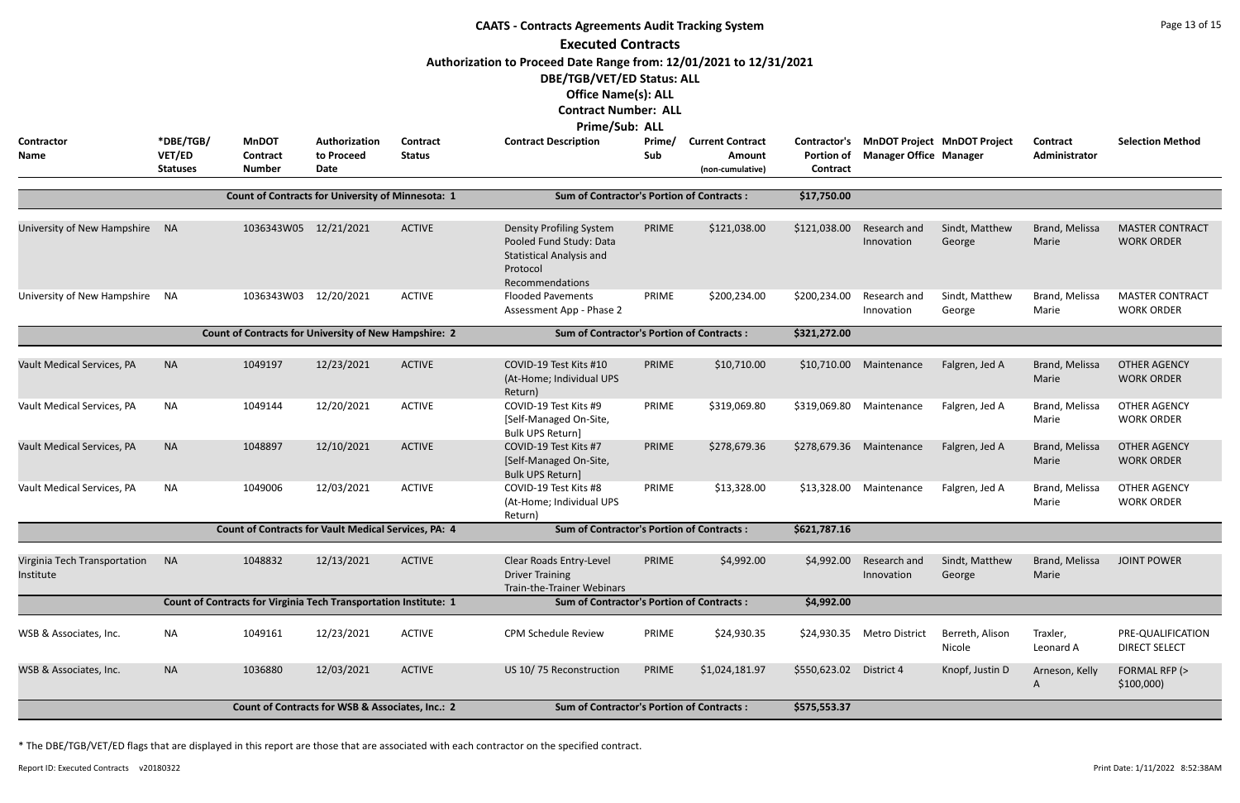| <b>CAATS - Contracts Agreements Audit Tracking System</b><br><b>Executed Contracts</b><br>Authorization to Proceed Date Range from: 12/01/2021 to 12/31/2021<br>DBE/TGB/VET/ED Status: ALL |                     |                                                                  |                                                  |                                  |                                                                                                                              |               |                                          |                                   |                                                                     | Page 13 of 15             |                           |                                             |
|--------------------------------------------------------------------------------------------------------------------------------------------------------------------------------------------|---------------------|------------------------------------------------------------------|--------------------------------------------------|----------------------------------|------------------------------------------------------------------------------------------------------------------------------|---------------|------------------------------------------|-----------------------------------|---------------------------------------------------------------------|---------------------------|---------------------------|---------------------------------------------|
| <b>Contractor</b><br>Name                                                                                                                                                                  | *DBE/TGB/<br>VET/ED | <b>MnDOT</b><br><b>Contract</b>                                  | Authorization<br>to Proceed                      | <b>Contract</b><br><b>Status</b> | <b>Office Name(s): ALL</b><br><b>Contract Number: ALL</b><br><b>Prime/Sub: ALL</b><br><b>Contract Description</b>            | Prime/<br>Sub | <b>Current Contract</b><br><b>Amount</b> | Contractor's<br><b>Portion of</b> | <b>MnDOT Project MnDOT Project</b><br><b>Manager Office Manager</b> |                           | Contract<br>Administrator | <b>Selection Method</b>                     |
|                                                                                                                                                                                            | <b>Statuses</b>     | <b>Number</b>                                                    | <b>Date</b>                                      |                                  |                                                                                                                              |               | (non-cumulative)                         | Contract                          |                                                                     |                           |                           |                                             |
|                                                                                                                                                                                            |                     | <b>Count of Contracts for University of Minnesota: 1</b>         |                                                  |                                  | <b>Sum of Contractor's Portion of Contracts:</b>                                                                             |               |                                          | \$17,750.00                       |                                                                     |                           |                           |                                             |
| University of New Hampshire                                                                                                                                                                | - NA                | 1036343W05 12/21/2021                                            |                                                  | <b>ACTIVE</b>                    | <b>Density Profiling System</b><br>Pooled Fund Study: Data<br><b>Statistical Analysis and</b><br>Protocol<br>Recommendations | PRIME         | \$121,038.00                             | \$121,038.00                      | Research and<br>Innovation                                          | Sindt, Matthew<br>George  | Brand, Melissa<br>Marie   | <b>MASTER CONTRACT</b><br><b>WORK ORDER</b> |
| University of New Hampshire                                                                                                                                                                | NA                  | 1036343W03                                                       | 12/20/2021                                       | <b>ACTIVE</b>                    | <b>Flooded Pavements</b><br>Assessment App - Phase 2                                                                         | PRIME         | \$200,234.00                             | \$200,234.00                      | Research and<br>Innovation                                          | Sindt, Matthew<br>George  | Brand, Melissa<br>Marie   | <b>MASTER CONTRACT</b><br><b>WORK ORDER</b> |
|                                                                                                                                                                                            |                     | <b>Count of Contracts for University of New Hampshire: 2</b>     |                                                  |                                  | <b>Sum of Contractor's Portion of Contracts:</b>                                                                             |               |                                          | \$321,272.00                      |                                                                     |                           |                           |                                             |
| Vault Medical Services, PA                                                                                                                                                                 | <b>NA</b>           | 1049197                                                          | 12/23/2021                                       | <b>ACTIVE</b>                    | COVID-19 Test Kits #10<br>(At-Home; Individual UPS<br>Return)                                                                | PRIME         | \$10,710.00                              | \$10,710.00                       | Maintenance                                                         | Falgren, Jed A            | Brand, Melissa<br>Marie   | <b>OTHER AGENCY</b><br><b>WORK ORDER</b>    |
| Vault Medical Services, PA                                                                                                                                                                 | <b>NA</b>           | 1049144                                                          | 12/20/2021                                       | <b>ACTIVE</b>                    | COVID-19 Test Kits #9<br>[Self-Managed On-Site,<br>Bulk UPS Return]                                                          | PRIME         | \$319,069.80                             | \$319,069.80                      | Maintenance                                                         | Falgren, Jed A            | Brand, Melissa<br>Marie   | <b>OTHER AGENCY</b><br><b>WORK ORDER</b>    |
| Vault Medical Services, PA                                                                                                                                                                 | <b>NA</b>           | 1048897                                                          | 12/10/2021                                       | <b>ACTIVE</b>                    | COVID-19 Test Kits #7<br>[Self-Managed On-Site,<br><b>Bulk UPS Return]</b>                                                   | PRIME         | \$278,679.36                             | \$278,679.36                      | Maintenance                                                         | Falgren, Jed A            | Brand, Melissa<br>Marie   | <b>OTHER AGENCY</b><br><b>WORK ORDER</b>    |
| Vault Medical Services, PA                                                                                                                                                                 | <b>NA</b>           | 1049006                                                          | 12/03/2021                                       | <b>ACTIVE</b>                    | COVID-19 Test Kits #8<br>(At-Home; Individual UPS<br>Return)                                                                 | PRIME         | \$13,328.00                              | \$13,328.00                       | Maintenance                                                         | Falgren, Jed A            | Brand, Melissa<br>Marie   | <b>OTHER AGENCY</b><br><b>WORK ORDER</b>    |
|                                                                                                                                                                                            |                     | <b>Count of Contracts for Vault Medical Services, PA: 4</b>      |                                                  |                                  | <b>Sum of Contractor's Portion of Contracts:</b>                                                                             |               |                                          | \$621,787.16                      |                                                                     |                           |                           |                                             |
| Virginia Tech Transportation<br>Institute                                                                                                                                                  | <b>NA</b>           | 1048832                                                          | 12/13/2021                                       | <b>ACTIVE</b>                    | Clear Roads Entry-Level<br><b>Driver Training</b><br>Train-the-Trainer Webinars                                              | PRIME         | \$4,992.00                               | \$4,992.00                        | Research and<br>Innovation                                          | Sindt, Matthew<br>George  | Brand, Melissa<br>Marie   | <b>JOINT POWER</b>                          |
|                                                                                                                                                                                            |                     | Count of Contracts for Virginia Tech Transportation Institute: 1 |                                                  |                                  | <b>Sum of Contractor's Portion of Contracts:</b>                                                                             |               |                                          | \$4,992.00                        |                                                                     |                           |                           |                                             |
| WSB & Associates, Inc.                                                                                                                                                                     | <b>NA</b>           | 1049161                                                          | 12/23/2021                                       | <b>ACTIVE</b>                    | <b>CPM Schedule Review</b>                                                                                                   | PRIME         | \$24,930.35                              | \$24,930.35                       | <b>Metro District</b>                                               | Berreth, Alison<br>Nicole | Traxler,<br>Leonard A     | PRE-QUALIFICATION<br><b>DIRECT SELECT</b>   |
| WSB & Associates, Inc.                                                                                                                                                                     | <b>NA</b>           | 1036880                                                          | 12/03/2021                                       | <b>ACTIVE</b>                    | US 10/75 Reconstruction                                                                                                      | PRIME         | \$1,024,181.97                           | \$550,623.02                      | District 4                                                          | Knopf, Justin D           | Arneson, Kelly<br>A       | FORMAL RFP (><br>\$100,000                  |
|                                                                                                                                                                                            |                     |                                                                  | Count of Contracts for WSB & Associates, Inc.: 2 |                                  | <b>Sum of Contractor's Portion of Contracts:</b>                                                                             |               |                                          | \$575,553.37                      |                                                                     |                           |                           |                                             |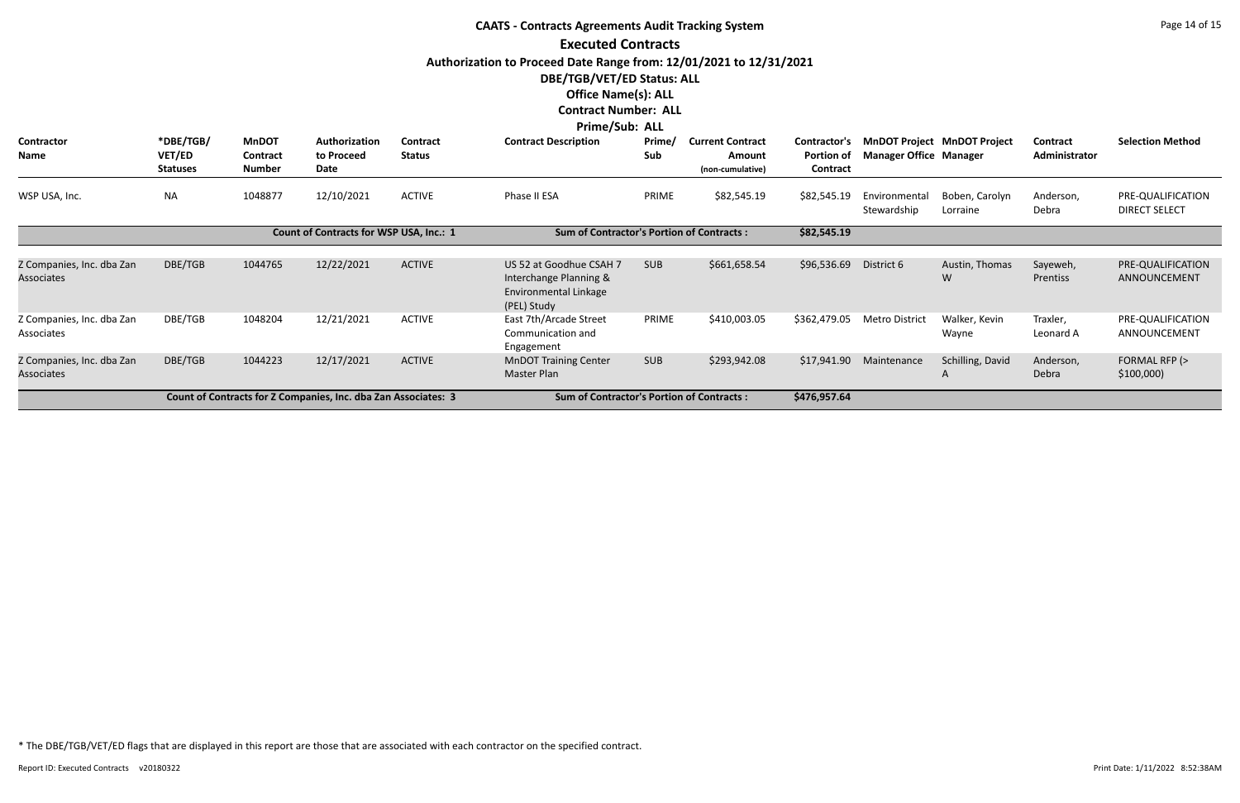|                                                |                                        |                                                  |                                                                |                           | <b>CAATS - Contracts Agreements Audit Tracking System</b>                                        |               |                                                       |                                        |                               |                                    |                           | Page 14 of 15                             |
|------------------------------------------------|----------------------------------------|--------------------------------------------------|----------------------------------------------------------------|---------------------------|--------------------------------------------------------------------------------------------------|---------------|-------------------------------------------------------|----------------------------------------|-------------------------------|------------------------------------|---------------------------|-------------------------------------------|
|                                                |                                        |                                                  |                                                                |                           | <b>Executed Contracts</b>                                                                        |               |                                                       |                                        |                               |                                    |                           |                                           |
|                                                |                                        |                                                  |                                                                |                           | Authorization to Proceed Date Range from: 12/01/2021 to 12/31/2021                               |               |                                                       |                                        |                               |                                    |                           |                                           |
|                                                |                                        |                                                  |                                                                |                           | DBE/TGB/VET/ED Status: ALL                                                                       |               |                                                       |                                        |                               |                                    |                           |                                           |
|                                                |                                        |                                                  |                                                                |                           | <b>Office Name(s): ALL</b>                                                                       |               |                                                       |                                        |                               |                                    |                           |                                           |
|                                                |                                        |                                                  |                                                                |                           | <b>Contract Number: ALL</b>                                                                      |               |                                                       |                                        |                               |                                    |                           |                                           |
| <b>Contractor</b><br><b>Name</b>               | *DBE/TGB/<br>VET/ED<br><b>Statuses</b> | <b>MnDOT</b><br><b>Contract</b><br><b>Number</b> | Authorization<br>to Proceed<br>Date                            | Contract<br><b>Status</b> | <b>Prime/Sub: ALL</b><br><b>Contract Description</b>                                             | Prime/<br>Sub | <b>Current Contract</b><br>Amount<br>(non-cumulative) | Contractor's<br>Portion of<br>Contract | <b>Manager Office Manager</b> | <b>MnDOT Project MnDOT Project</b> | Contract<br>Administrator | <b>Selection Method</b>                   |
| WSP USA, Inc.                                  | <b>NA</b>                              | 1048877                                          | 12/10/2021                                                     | <b>ACTIVE</b>             | Phase II ESA                                                                                     | PRIME         | \$82,545.19                                           | \$82,545.19                            | Environmental<br>Stewardship  | Boben, Carolyn<br>Lorraine         | Anderson,<br>Debra        | PRE-QUALIFICATION<br><b>DIRECT SELECT</b> |
|                                                |                                        |                                                  | Count of Contracts for WSP USA, Inc.: 1                        |                           | <b>Sum of Contractor's Portion of Contracts:</b>                                                 |               |                                                       | \$82,545.19                            |                               |                                    |                           |                                           |
| Z Companies, Inc. dba Zan<br><b>Associates</b> | DBE/TGB                                | 1044765                                          | 12/22/2021                                                     | <b>ACTIVE</b>             | US 52 at Goodhue CSAH 7<br>Interchange Planning &<br><b>Environmental Linkage</b><br>(PEL) Study | <b>SUB</b>    | \$661,658.54                                          | \$96,536.69                            | District 6                    | Austin, Thomas<br>W                | Sayeweh,<br>Prentiss      | PRE-QUALIFICATION<br>ANNOUNCEMENT         |
| Z Companies, Inc. dba Zan<br>Associates        | DBE/TGB                                | 1048204                                          | 12/21/2021                                                     | <b>ACTIVE</b>             | East 7th/Arcade Street<br>Communication and<br>Engagement                                        | PRIME         | \$410,003.05                                          | \$362,479.05                           | <b>Metro District</b>         | Walker, Kevin<br>Wayne             | Traxler,<br>Leonard A     | PRE-QUALIFICATION<br>ANNOUNCEMENT         |
| Z Companies, Inc. dba Zan<br><b>Associates</b> | DBE/TGB                                | 1044223                                          | 12/17/2021                                                     | <b>ACTIVE</b>             | <b>MnDOT Training Center</b><br>Master Plan                                                      | <b>SUB</b>    | \$293,942.08                                          | \$17,941.90                            | Maintenance                   | Schilling, David                   | Anderson,<br>Debra        | FORMAL RFP (><br>\$100,000                |
|                                                |                                        |                                                  | Count of Contracts for Z Companies, Inc. dba Zan Associates: 3 |                           | <b>Sum of Contractor's Portion of Contracts:</b>                                                 |               |                                                       | \$476,957.64                           |                               |                                    |                           |                                           |